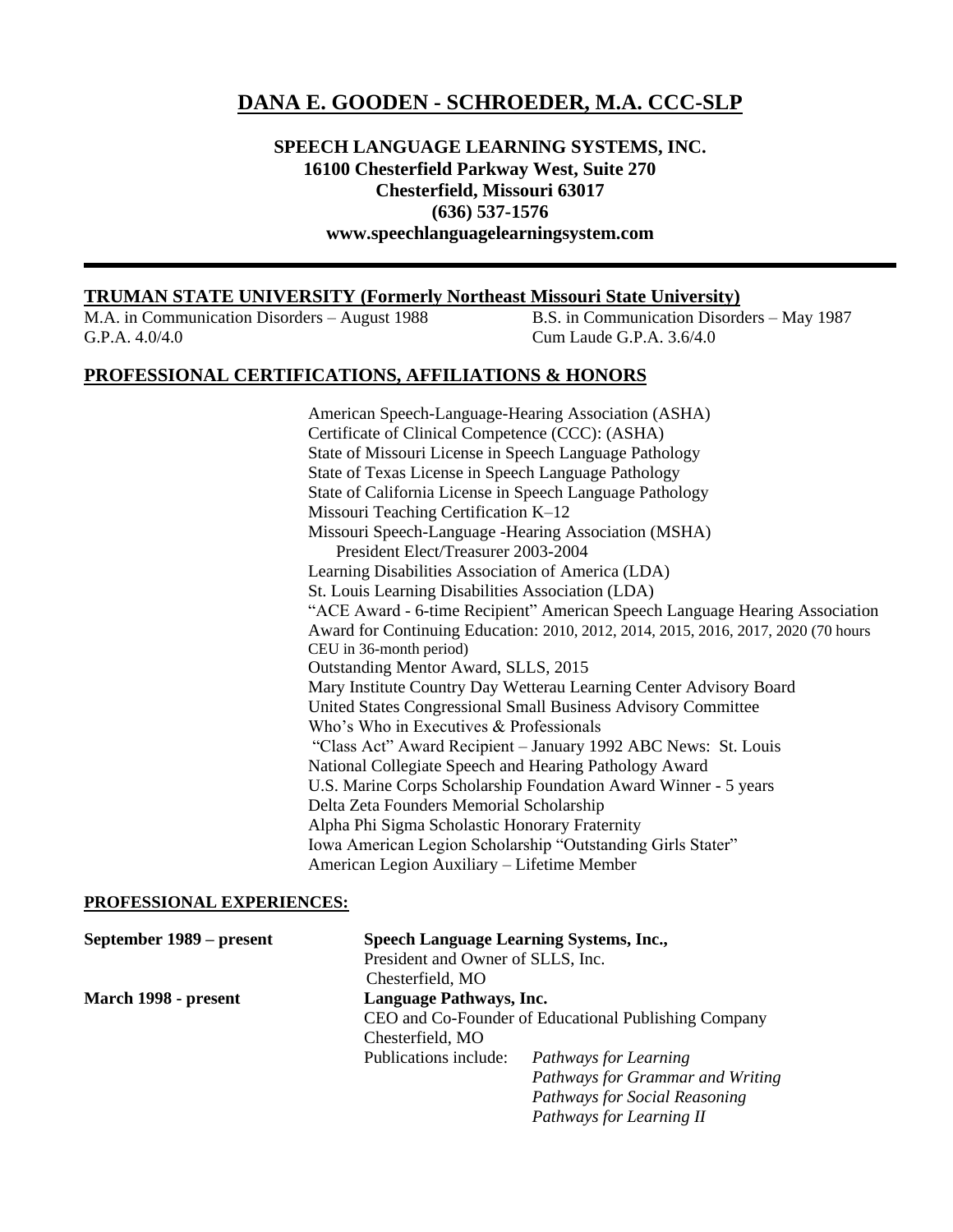# **DANA E. GOODEN - SCHROEDER, M.A. CCC-SLP**

## **SPEECH LANGUAGE LEARNING SYSTEMS, INC. 16100 Chesterfield Parkway West, Suite 270 Chesterfield, Missouri 63017 (636) 537-1576 www.speechlanguagelearningsystem.com**

## **TRUMAN STATE UNIVERSITY (Formerly Northeast Missouri State University)**

G.P.A. 4.0/4.0 Cum Laude G.P.A. 3.6/4.0

M.A. in Communication Disorders – August 1988 B.S. in Communication Disorders – May 1987

## **PROFESSIONAL CERTIFICATIONS, AFFILIATIONS & HONORS**

American Speech-Language-Hearing Association (ASHA) Certificate of Clinical Competence (CCC): (ASHA) State of Missouri License in Speech Language Pathology State of Texas License in Speech Language Pathology State of California License in Speech Language Pathology Missouri Teaching Certification K–12 Missouri Speech-Language -Hearing Association (MSHA) President Elect/Treasurer 2003-2004 Learning Disabilities Association of America (LDA) St. Louis Learning Disabilities Association (LDA) "ACE Award - 6-time Recipient" American Speech Language Hearing Association Award for Continuing Education: 2010, 2012, 2014, 2015, 2016, 2017, 2020 (70 hours CEU in 36-month period) Outstanding Mentor Award, SLLS, 2015 Mary Institute Country Day Wetterau Learning Center Advisory Board United States Congressional Small Business Advisory Committee Who's Who in Executives & Professionals "Class Act" Award Recipient – January 1992 ABC News: St. Louis National Collegiate Speech and Hearing Pathology Award U.S. Marine Corps Scholarship Foundation Award Winner - 5 years Delta Zeta Founders Memorial Scholarship Alpha Phi Sigma Scholastic Honorary Fraternity Iowa American Legion Scholarship "Outstanding Girls Stater" American Legion Auxiliary – Lifetime Member

### **PROFESSIONAL EXPERIENCES:**

| September 1989 – present | <b>Speech Language Learning Systems, Inc.,</b>       |                                  |  |
|--------------------------|------------------------------------------------------|----------------------------------|--|
|                          | President and Owner of SLLS, Inc.                    |                                  |  |
|                          | Chesterfield, MO                                     |                                  |  |
| March 1998 - present     | Language Pathways, Inc.                              |                                  |  |
|                          | CEO and Co-Founder of Educational Publishing Company |                                  |  |
|                          | Chesterfield, MO                                     |                                  |  |
|                          | Publications include:                                | Pathways for Learning            |  |
|                          |                                                      | Pathways for Grammar and Writing |  |
|                          |                                                      | Pathways for Social Reasoning    |  |
|                          |                                                      | Pathways for Learning II         |  |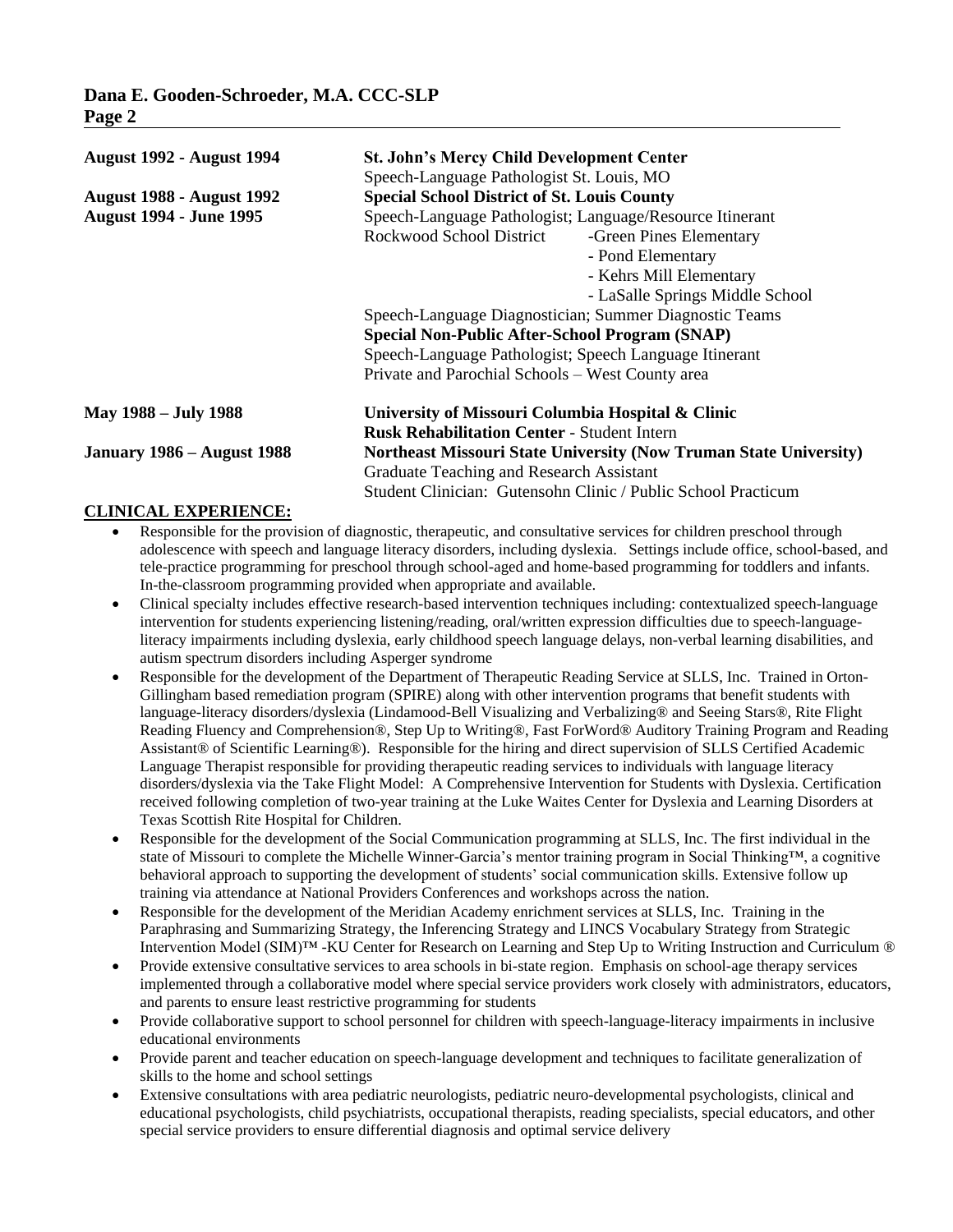| <b>August 1992 - August 1994</b>  | <b>St. John's Mercy Child Development Center</b>       |                                                                          |  |  |
|-----------------------------------|--------------------------------------------------------|--------------------------------------------------------------------------|--|--|
|                                   | Speech-Language Pathologist St. Louis, MO              |                                                                          |  |  |
| <b>August 1988 - August 1992</b>  | <b>Special School District of St. Louis County</b>     |                                                                          |  |  |
| <b>August 1994 - June 1995</b>    |                                                        | Speech-Language Pathologist; Language/Resource Itinerant                 |  |  |
|                                   | Rockwood School District                               | -Green Pines Elementary                                                  |  |  |
|                                   |                                                        | - Pond Elementary                                                        |  |  |
|                                   |                                                        | - Kehrs Mill Elementary                                                  |  |  |
|                                   |                                                        | - LaSalle Springs Middle School                                          |  |  |
|                                   |                                                        | Speech-Language Diagnostician; Summer Diagnostic Teams                   |  |  |
|                                   | <b>Special Non-Public After-School Program (SNAP)</b>  |                                                                          |  |  |
|                                   | Speech-Language Pathologist; Speech Language Itinerant |                                                                          |  |  |
|                                   | Private and Parochial Schools - West County area       |                                                                          |  |  |
| May 1988 – July 1988              | University of Missouri Columbia Hospital & Clinic      |                                                                          |  |  |
|                                   | <b>Rusk Rehabilitation Center - Student Intern</b>     |                                                                          |  |  |
| <b>January 1986 – August 1988</b> |                                                        | <b>Northeast Missouri State University (Now Truman State University)</b> |  |  |
|                                   | Graduate Teaching and Research Assistant               |                                                                          |  |  |
|                                   |                                                        | Student Clinician: Gutensohn Clinic / Public School Practicum            |  |  |

## **CLINICAL EXPERIENCE:**

- Responsible for the provision of diagnostic, therapeutic, and consultative services for children preschool through adolescence with speech and language literacy disorders, including dyslexia. Settings include office, school-based, and tele-practice programming for preschool through school-aged and home-based programming for toddlers and infants. In-the-classroom programming provided when appropriate and available.
- Clinical specialty includes effective research-based intervention techniques including: contextualized speech-language intervention for students experiencing listening/reading, oral/written expression difficulties due to speech-languageliteracy impairments including dyslexia, early childhood speech language delays, non-verbal learning disabilities, and autism spectrum disorders including Asperger syndrome
- Responsible for the development of the Department of Therapeutic Reading Service at SLLS, Inc. Trained in Orton-Gillingham based remediation program (SPIRE) along with other intervention programs that benefit students with language-literacy disorders/dyslexia (Lindamood-Bell Visualizing and Verbalizing® and Seeing Stars®, Rite Flight Reading Fluency and Comprehension®, Step Up to Writing®, Fast ForWord® Auditory Training Program and Reading Assistant® of Scientific Learning®). Responsible for the hiring and direct supervision of SLLS Certified Academic Language Therapist responsible for providing therapeutic reading services to individuals with language literacy disorders/dyslexia via the Take Flight Model: A Comprehensive Intervention for Students with Dyslexia. Certification received following completion of two-year training at the Luke Waites Center for Dyslexia and Learning Disorders at Texas Scottish Rite Hospital for Children.
- Responsible for the development of the Social Communication programming at SLLS, Inc. The first individual in the state of Missouri to complete the Michelle Winner-Garcia's mentor training program in Social Thinking™, a cognitive behavioral approach to supporting the development of students' social communication skills. Extensive follow up training via attendance at National Providers Conferences and workshops across the nation.
- Responsible for the development of the Meridian Academy enrichment services at SLLS, Inc. Training in the Paraphrasing and Summarizing Strategy, the Inferencing Strategy and LINCS Vocabulary Strategy from Strategic Intervention Model (SIM)™ -KU Center for Research on Learning and Step Up to Writing Instruction and Curriculum ®
- Provide extensive consultative services to area schools in bi-state region. Emphasis on school-age therapy services implemented through a collaborative model where special service providers work closely with administrators, educators, and parents to ensure least restrictive programming for students
- Provide collaborative support to school personnel for children with speech-language-literacy impairments in inclusive educational environments
- Provide parent and teacher education on speech-language development and techniques to facilitate generalization of skills to the home and school settings
- Extensive consultations with area pediatric neurologists, pediatric neuro-developmental psychologists, clinical and educational psychologists, child psychiatrists, occupational therapists, reading specialists, special educators, and other special service providers to ensure differential diagnosis and optimal service delivery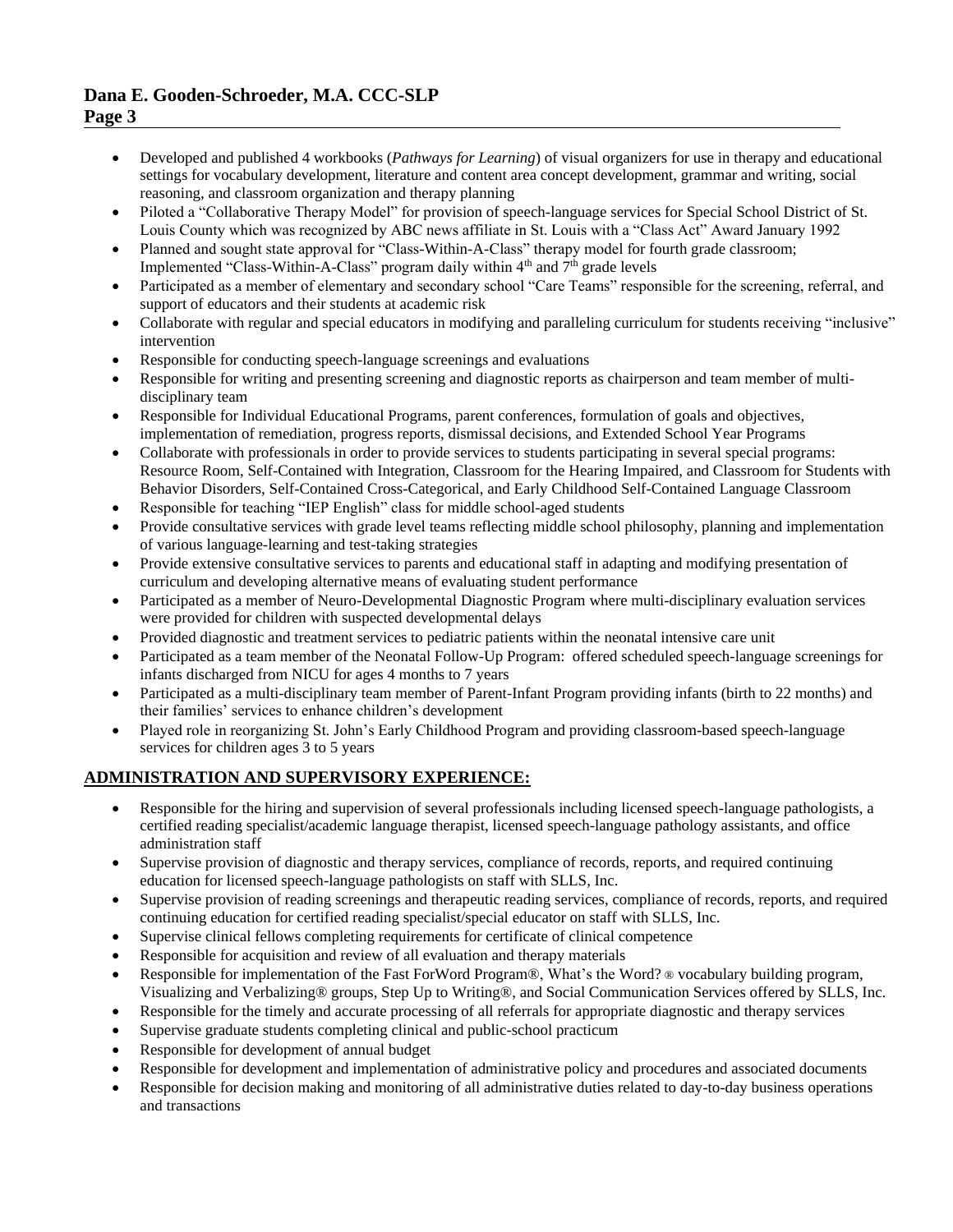- Developed and published 4 workbooks (*Pathways for Learning*) of visual organizers for use in therapy and educational settings for vocabulary development, literature and content area concept development, grammar and writing, social reasoning, and classroom organization and therapy planning
- Piloted a "Collaborative Therapy Model" for provision of speech-language services for Special School District of St. Louis County which was recognized by ABC news affiliate in St. Louis with a "Class Act" Award January 1992
- Planned and sought state approval for "Class-Within-A-Class" therapy model for fourth grade classroom; Implemented "Class-Within-A-Class" program daily within  $4<sup>th</sup>$  and  $7<sup>th</sup>$  grade levels
- Participated as a member of elementary and secondary school "Care Teams" responsible for the screening, referral, and support of educators and their students at academic risk
- Collaborate with regular and special educators in modifying and paralleling curriculum for students receiving "inclusive" intervention
- Responsible for conducting speech-language screenings and evaluations
- Responsible for writing and presenting screening and diagnostic reports as chairperson and team member of multidisciplinary team
- Responsible for Individual Educational Programs, parent conferences, formulation of goals and objectives, implementation of remediation, progress reports, dismissal decisions, and Extended School Year Programs
- Collaborate with professionals in order to provide services to students participating in several special programs: Resource Room, Self-Contained with Integration, Classroom for the Hearing Impaired, and Classroom for Students with Behavior Disorders, Self-Contained Cross-Categorical, and Early Childhood Self-Contained Language Classroom
- Responsible for teaching "IEP English" class for middle school-aged students
- Provide consultative services with grade level teams reflecting middle school philosophy, planning and implementation of various language-learning and test-taking strategies
- Provide extensive consultative services to parents and educational staff in adapting and modifying presentation of curriculum and developing alternative means of evaluating student performance
- Participated as a member of Neuro-Developmental Diagnostic Program where multi-disciplinary evaluation services were provided for children with suspected developmental delays
- Provided diagnostic and treatment services to pediatric patients within the neonatal intensive care unit
- Participated as a team member of the Neonatal Follow-Up Program: offered scheduled speech-language screenings for infants discharged from NICU for ages 4 months to 7 years
- Participated as a multi-disciplinary team member of Parent-Infant Program providing infants (birth to 22 months) and their families' services to enhance children's development
- Played role in reorganizing St. John's Early Childhood Program and providing classroom-based speech-language services for children ages 3 to 5 years

## **ADMINISTRATION AND SUPERVISORY EXPERIENCE:**

- Responsible for the hiring and supervision of several professionals including licensed speech-language pathologists, a certified reading specialist/academic language therapist, licensed speech-language pathology assistants, and office administration staff
- Supervise provision of diagnostic and therapy services, compliance of records, reports, and required continuing education for licensed speech-language pathologists on staff with SLLS, Inc.
- Supervise provision of reading screenings and therapeutic reading services, compliance of records, reports, and required continuing education for certified reading specialist/special educator on staff with SLLS, Inc.
- Supervise clinical fellows completing requirements for certificate of clinical competence
- Responsible for acquisition and review of all evaluation and therapy materials
- Responsible for implementation of the Fast ForWord Program®, What's the Word? ® vocabulary building program, Visualizing and Verbalizing® groups, Step Up to Writing®, and Social Communication Services offered by SLLS, Inc.
- Responsible for the timely and accurate processing of all referrals for appropriate diagnostic and therapy services
- Supervise graduate students completing clinical and public-school practicum
- Responsible for development of annual budget
- Responsible for development and implementation of administrative policy and procedures and associated documents
- Responsible for decision making and monitoring of all administrative duties related to day-to-day business operations and transactions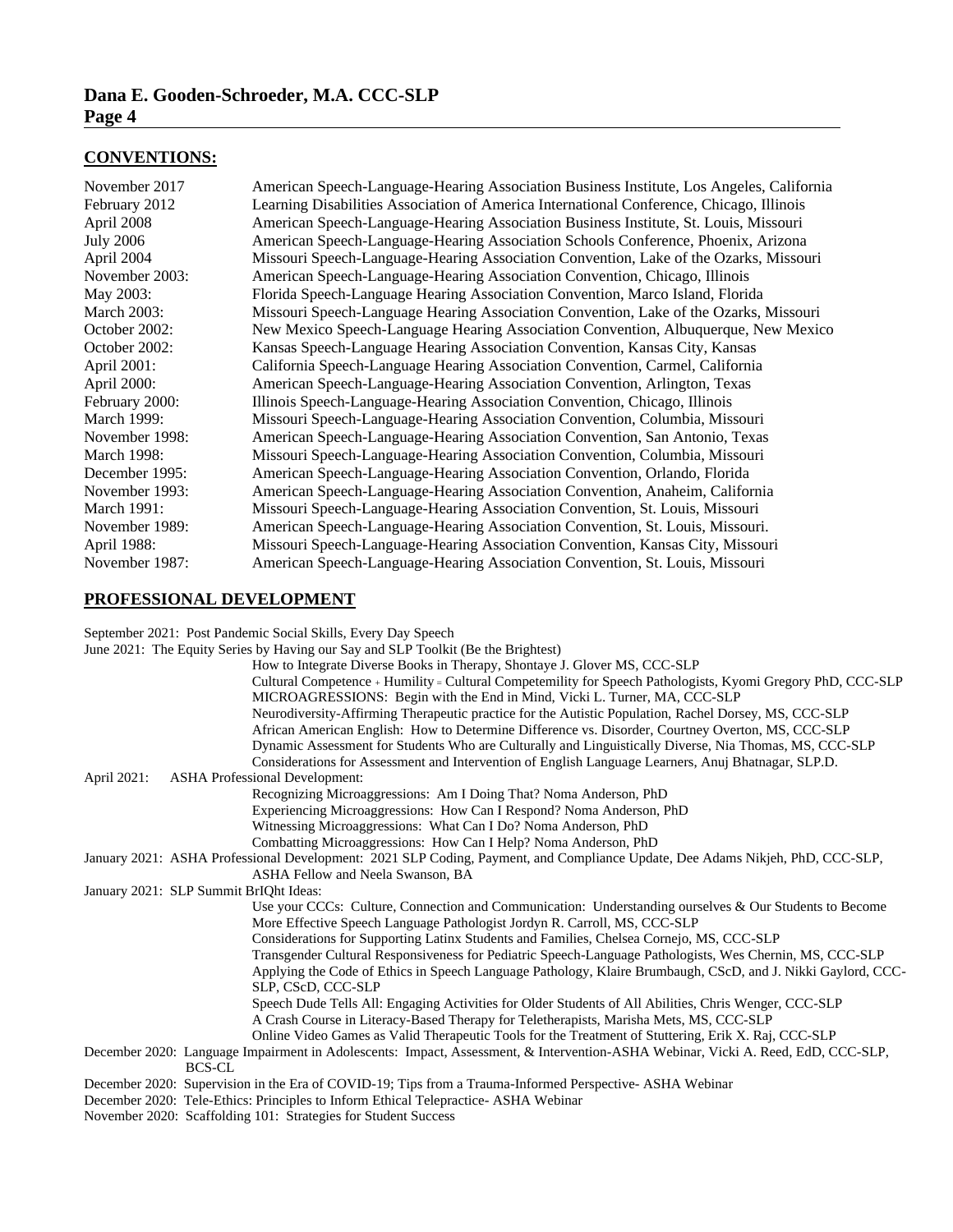#### **CONVENTIONS:**

| November 2017    | American Speech-Language-Hearing Association Business Institute, Los Angeles, California |
|------------------|------------------------------------------------------------------------------------------|
| February 2012    | Learning Disabilities Association of America International Conference, Chicago, Illinois |
| April 2008       | American Speech-Language-Hearing Association Business Institute, St. Louis, Missouri     |
| <b>July 2006</b> | American Speech-Language-Hearing Association Schools Conference, Phoenix, Arizona        |
| April 2004       | Missouri Speech-Language-Hearing Association Convention, Lake of the Ozarks, Missouri    |
| November 2003:   | American Speech-Language-Hearing Association Convention, Chicago, Illinois               |
| May 2003:        | Florida Speech-Language Hearing Association Convention, Marco Island, Florida            |
| March 2003:      | Missouri Speech-Language Hearing Association Convention, Lake of the Ozarks, Missouri    |
| October 2002:    | New Mexico Speech-Language Hearing Association Convention, Albuquerque, New Mexico       |
| October 2002:    | Kansas Speech-Language Hearing Association Convention, Kansas City, Kansas               |
| April 2001:      | California Speech-Language Hearing Association Convention, Carmel, California            |
| April 2000:      | American Speech-Language-Hearing Association Convention, Arlington, Texas                |
| February 2000:   | Illinois Speech-Language-Hearing Association Convention, Chicago, Illinois               |
| March 1999:      | Missouri Speech-Language-Hearing Association Convention, Columbia, Missouri              |
| November 1998:   | American Speech-Language-Hearing Association Convention, San Antonio, Texas              |
| March 1998:      | Missouri Speech-Language-Hearing Association Convention, Columbia, Missouri              |
| December 1995:   | American Speech-Language-Hearing Association Convention, Orlando, Florida                |
| November 1993:   | American Speech-Language-Hearing Association Convention, Anaheim, California             |
| March 1991:      | Missouri Speech-Language-Hearing Association Convention, St. Louis, Missouri             |
| November 1989:   | American Speech-Language-Hearing Association Convention, St. Louis, Missouri.            |
| April 1988:      | Missouri Speech-Language-Hearing Association Convention, Kansas City, Missouri           |
| November 1987:   | American Speech-Language-Hearing Association Convention, St. Louis, Missouri             |

## **PROFESSIONAL DEVELOPMENT**

September 2021: Post Pandemic Social Skills, Every Day Speech

|  |  |  | June 2021: The Equity Series by Having our Say and SLP Toolkit (Be the Brightest) |  |
|--|--|--|-----------------------------------------------------------------------------------|--|
|  |  |  |                                                                                   |  |

|             | June 2021: The Equity Series by Having our Say and SLP Toolkit (Be the Brightest)                                                                                                   |
|-------------|-------------------------------------------------------------------------------------------------------------------------------------------------------------------------------------|
|             | How to Integrate Diverse Books in Therapy, Shontaye J. Glover MS, CCC-SLP                                                                                                           |
|             | Cultural Competence + Humility = Cultural Competemility for Speech Pathologists, Kyomi Gregory PhD, CCC-SLP                                                                         |
|             | MICROAGRESSIONS: Begin with the End in Mind, Vicki L. Turner, MA, CCC-SLP                                                                                                           |
|             | Neurodiversity-Affirming Therapeutic practice for the Autistic Population, Rachel Dorsey, MS, CCC-SLP                                                                               |
|             | African American English: How to Determine Difference vs. Disorder, Courtney Overton, MS, CCC-SLP                                                                                   |
|             | Dynamic Assessment for Students Who are Culturally and Linguistically Diverse, Nia Thomas, MS, CCC-SLP                                                                              |
|             | Considerations for Assessment and Intervention of English Language Learners, Anuj Bhatnagar, SLP.D.                                                                                 |
| April 2021: | <b>ASHA Professional Development:</b>                                                                                                                                               |
|             | Recognizing Microaggressions: Am I Doing That? Noma Anderson, PhD                                                                                                                   |
|             | Experiencing Microaggressions: How Can I Respond? Noma Anderson, PhD                                                                                                                |
|             | Witnessing Microaggressions: What Can I Do? Noma Anderson, PhD                                                                                                                      |
|             | Combatting Microaggressions: How Can I Help? Noma Anderson, PhD                                                                                                                     |
|             | January 2021: ASHA Professional Development: 2021 SLP Coding, Payment, and Compliance Update, Dee Adams Nikjeh, PhD, CCC-SLP,                                                       |
|             | ASHA Fellow and Neela Swanson, BA                                                                                                                                                   |
|             | January 2021: SLP Summit BrIQht Ideas:                                                                                                                                              |
|             | Use your CCCs: Culture, Connection and Communication: Understanding ourselves & Our Students to Become<br>More Effective Speech Language Pathologist Jordyn R. Carroll, MS, CCC-SLP |
|             | Considerations for Supporting Latinx Students and Families, Chelsea Cornejo, MS, CCC-SLP                                                                                            |
|             | Transgender Cultural Responsiveness for Pediatric Speech-Language Pathologists, Wes Chernin, MS, CCC-SLP                                                                            |
|             | Applying the Code of Ethics in Speech Language Pathology, Klaire Brumbaugh, CScD, and J. Nikki Gaylord, CCC-                                                                        |
|             | SLP, CScD, CCC-SLP                                                                                                                                                                  |
|             | Speech Dude Tells All: Engaging Activities for Older Students of All Abilities, Chris Wenger, CCC-SLP                                                                               |
|             | A Crash Course in Literacy-Based Therapy for Teletherapists, Marisha Mets, MS, CCC-SLP                                                                                              |
|             | Online Video Games as Valid Therapeutic Tools for the Treatment of Stuttering, Erik X. Raj, CCC-SLP                                                                                 |
|             | December 2020: Language Impairment in Adolescents: Impact, Assessment, & Intervention-ASHA Webinar, Vicki A. Reed, EdD, CCC-SLP,<br><b>BCS-CL</b>                                   |
|             | December 2020: Supervision in the Era of COVID-19; Tips from a Trauma-Informed Perspective-ASHA Webinar                                                                             |
|             | December 2020: Tele-Ethics: Principles to Inform Ethical Telepractice-ASHA Webinar                                                                                                  |

November 2020: Scaffolding 101: Strategies for Student Success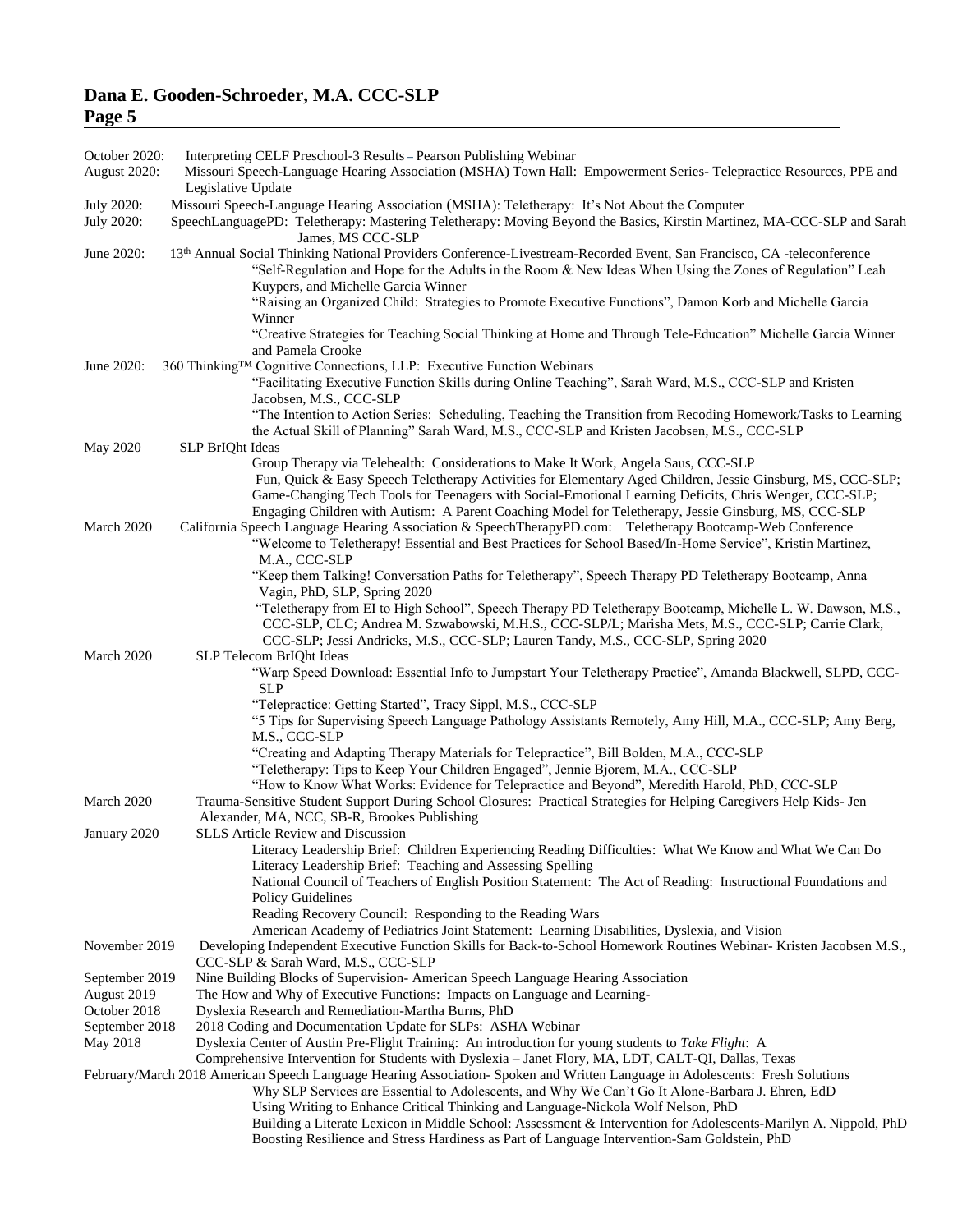| $\frac{1}{2}$               |                                                                                                                                                                                                                                                                                                                                                                                                                     |
|-----------------------------|---------------------------------------------------------------------------------------------------------------------------------------------------------------------------------------------------------------------------------------------------------------------------------------------------------------------------------------------------------------------------------------------------------------------|
| October 2020:               | Interpreting CELF Preschool-3 Results - Pearson Publishing Webinar                                                                                                                                                                                                                                                                                                                                                  |
| August 2020:                | Missouri Speech-Language Hearing Association (MSHA) Town Hall: Empowerment Series-Telepractice Resources, PPE and<br>Legislative Update                                                                                                                                                                                                                                                                             |
| July 2020:<br>July 2020:    | Missouri Speech-Language Hearing Association (MSHA): Teletherapy: It's Not About the Computer<br>SpeechLanguagePD: Teletherapy: Mastering Teletherapy: Moving Beyond the Basics, Kirstin Martinez, MA-CCC-SLP and Sarah<br>James, MS CCC-SLP                                                                                                                                                                        |
| June 2020:                  | 13th Annual Social Thinking National Providers Conference-Livestream-Recorded Event, San Francisco, CA -teleconference<br>"Self-Regulation and Hope for the Adults in the Room & New Ideas When Using the Zones of Regulation" Leah<br>Kuypers, and Michelle Garcia Winner                                                                                                                                          |
|                             | "Raising an Organized Child: Strategies to Promote Executive Functions", Damon Korb and Michelle Garcia<br>Winner                                                                                                                                                                                                                                                                                                   |
|                             | "Creative Strategies for Teaching Social Thinking at Home and Through Tele-Education" Michelle Garcia Winner<br>and Pamela Crooke                                                                                                                                                                                                                                                                                   |
| June 2020:                  | 360 Thinking™ Cognitive Connections, LLP: Executive Function Webinars<br>"Facilitating Executive Function Skills during Online Teaching", Sarah Ward, M.S., CCC-SLP and Kristen                                                                                                                                                                                                                                     |
|                             | Jacobsen, M.S., CCC-SLP<br>"The Intention to Action Series: Scheduling, Teaching the Transition from Recoding Homework/Tasks to Learning<br>the Actual Skill of Planning" Sarah Ward, M.S., CCC-SLP and Kristen Jacobsen, M.S., CCC-SLP                                                                                                                                                                             |
| <b>May 2020</b>             | SLP BrIQht Ideas                                                                                                                                                                                                                                                                                                                                                                                                    |
|                             | Group Therapy via Telehealth: Considerations to Make It Work, Angela Saus, CCC-SLP<br>Fun, Quick & Easy Speech Teletherapy Activities for Elementary Aged Children, Jessie Ginsburg, MS, CCC-SLP;<br>Game-Changing Tech Tools for Teenagers with Social-Emotional Learning Deficits, Chris Wenger, CCC-SLP;<br>Engaging Children with Autism: A Parent Coaching Model for Teletherapy, Jessie Ginsburg, MS, CCC-SLP |
| March 2020                  | California Speech Language Hearing Association & SpeechTherapyPD.com: Teletherapy Bootcamp-Web Conference<br>"Welcome to Teletherapy! Essential and Best Practices for School Based/In-Home Service", Kristin Martinez,<br>M.A., CCC-SLP                                                                                                                                                                            |
|                             | "Keep them Talking! Conversation Paths for Teletherapy", Speech Therapy PD Teletherapy Bootcamp, Anna<br>Vagin, PhD, SLP, Spring 2020                                                                                                                                                                                                                                                                               |
|                             | "Teletherapy from EI to High School", Speech Therapy PD Teletherapy Bootcamp, Michelle L. W. Dawson, M.S.,<br>CCC-SLP, CLC; Andrea M. Szwabowski, M.H.S., CCC-SLP/L; Marisha Mets, M.S., CCC-SLP; Carrie Clark,<br>CCC-SLP; Jessi Andricks, M.S., CCC-SLP; Lauren Tandy, M.S., CCC-SLP, Spring 2020                                                                                                                 |
| March 2020                  | SLP Telecom BrIQht Ideas<br>"Warp Speed Download: Essential Info to Jumpstart Your Teletherapy Practice", Amanda Blackwell, SLPD, CCC-<br><b>SLP</b>                                                                                                                                                                                                                                                                |
|                             | "Telepractice: Getting Started", Tracy Sippl, M.S., CCC-SLP<br>"5 Tips for Supervising Speech Language Pathology Assistants Remotely, Amy Hill, M.A., CCC-SLP; Amy Berg,                                                                                                                                                                                                                                            |
|                             | M.S., CCC-SLP                                                                                                                                                                                                                                                                                                                                                                                                       |
|                             | "Creating and Adapting Therapy Materials for Telepractice", Bill Bolden, M.A., CCC-SLP<br>"Teletherapy: Tips to Keep Your Children Engaged", Jennie Bjorem, M.A., CCC-SLP<br>"How to Know What Works: Evidence for Telepractice and Beyond", Meredith Harold, PhD, CCC-SLP                                                                                                                                          |
| March 2020                  | Trauma-Sensitive Student Support During School Closures: Practical Strategies for Helping Caregivers Help Kids- Jen<br>Alexander, MA, NCC, SB-R, Brookes Publishing                                                                                                                                                                                                                                                 |
| January 2020                | <b>SLLS</b> Article Review and Discussion<br>Literacy Leadership Brief: Children Experiencing Reading Difficulties: What We Know and What We Can Do                                                                                                                                                                                                                                                                 |
|                             | Literacy Leadership Brief: Teaching and Assessing Spelling<br>National Council of Teachers of English Position Statement: The Act of Reading: Instructional Foundations and                                                                                                                                                                                                                                         |
|                             | <b>Policy Guidelines</b><br>Reading Recovery Council: Responding to the Reading Wars<br>American Academy of Pediatrics Joint Statement: Learning Disabilities, Dyslexia, and Vision                                                                                                                                                                                                                                 |
| November 2019               | Developing Independent Executive Function Skills for Back-to-School Homework Routines Webinar-Kristen Jacobsen M.S.,<br>CCC-SLP & Sarah Ward, M.S., CCC-SLP                                                                                                                                                                                                                                                         |
| September 2019              | Nine Building Blocks of Supervision- American Speech Language Hearing Association                                                                                                                                                                                                                                                                                                                                   |
| August 2019<br>October 2018 | The How and Why of Executive Functions: Impacts on Language and Learning-<br>Dyslexia Research and Remediation-Martha Burns, PhD                                                                                                                                                                                                                                                                                    |
| September 2018              | 2018 Coding and Documentation Update for SLPs: ASHA Webinar                                                                                                                                                                                                                                                                                                                                                         |
| May 2018                    | Dyslexia Center of Austin Pre-Flight Training: An introduction for young students to Take Flight: A<br>Comprehensive Intervention for Students with Dyslexia - Janet Flory, MA, LDT, CALT-QI, Dallas, Texas                                                                                                                                                                                                         |
|                             | February/March 2018 American Speech Language Hearing Association-Spoken and Written Language in Adolescents: Fresh Solutions<br>Why SLP Services are Essential to Adolescents, and Why We Can't Go It Alone-Barbara J. Ehren, EdD<br>Using Writing to Enhance Critical Thinking and Language-Nickola Wolf Nelson, PhD                                                                                               |

Building a Literate Lexicon in Middle School: Assessment & Intervention for Adolescents-Marilyn A. Nippold, PhD Boosting Resilience and Stress Hardiness as Part of Language Intervention-Sam Goldstein, PhD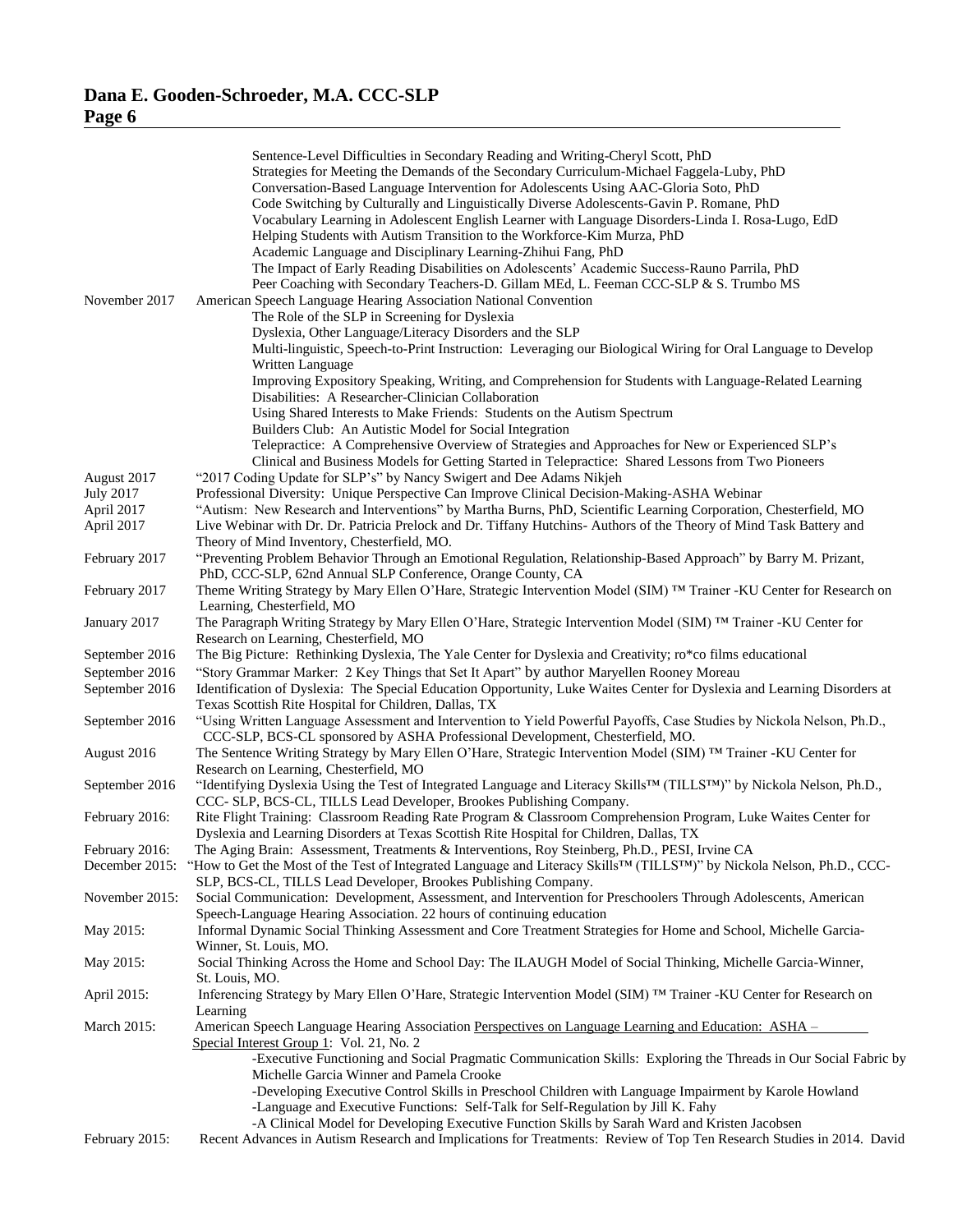| November 2017    | Sentence-Level Difficulties in Secondary Reading and Writing-Cheryl Scott, PhD<br>Strategies for Meeting the Demands of the Secondary Curriculum-Michael Faggela-Luby, PhD<br>Conversation-Based Language Intervention for Adolescents Using AAC-Gloria Soto, PhD<br>Code Switching by Culturally and Linguistically Diverse Adolescents-Gavin P. Romane, PhD<br>Vocabulary Learning in Adolescent English Learner with Language Disorders-Linda I. Rosa-Lugo, EdD<br>Helping Students with Autism Transition to the Workforce-Kim Murza, PhD<br>Academic Language and Disciplinary Learning-Zhihui Fang, PhD<br>The Impact of Early Reading Disabilities on Adolescents' Academic Success-Rauno Parrila, PhD<br>Peer Coaching with Secondary Teachers-D. Gillam MEd, L. Feeman CCC-SLP & S. Trumbo MS<br>American Speech Language Hearing Association National Convention<br>The Role of the SLP in Screening for Dyslexia<br>Dyslexia, Other Language/Literacy Disorders and the SLP<br>Multi-linguistic, Speech-to-Print Instruction: Leveraging our Biological Wiring for Oral Language to Develop<br>Written Language<br>Improving Expository Speaking, Writing, and Comprehension for Students with Language-Related Learning<br>Disabilities: A Researcher-Clinician Collaboration<br>Using Shared Interests to Make Friends: Students on the Autism Spectrum<br>Builders Club: An Autistic Model for Social Integration |
|------------------|---------------------------------------------------------------------------------------------------------------------------------------------------------------------------------------------------------------------------------------------------------------------------------------------------------------------------------------------------------------------------------------------------------------------------------------------------------------------------------------------------------------------------------------------------------------------------------------------------------------------------------------------------------------------------------------------------------------------------------------------------------------------------------------------------------------------------------------------------------------------------------------------------------------------------------------------------------------------------------------------------------------------------------------------------------------------------------------------------------------------------------------------------------------------------------------------------------------------------------------------------------------------------------------------------------------------------------------------------------------------------------------------------------------------------------|
|                  | Telepractice: A Comprehensive Overview of Strategies and Approaches for New or Experienced SLP's<br>Clinical and Business Models for Getting Started in Telepractice: Shared Lessons from Two Pioneers                                                                                                                                                                                                                                                                                                                                                                                                                                                                                                                                                                                                                                                                                                                                                                                                                                                                                                                                                                                                                                                                                                                                                                                                                          |
| August 2017      | "2017 Coding Update for SLP's" by Nancy Swigert and Dee Adams Nikjeh                                                                                                                                                                                                                                                                                                                                                                                                                                                                                                                                                                                                                                                                                                                                                                                                                                                                                                                                                                                                                                                                                                                                                                                                                                                                                                                                                            |
| <b>July 2017</b> | Professional Diversity: Unique Perspective Can Improve Clinical Decision-Making-ASHA Webinar                                                                                                                                                                                                                                                                                                                                                                                                                                                                                                                                                                                                                                                                                                                                                                                                                                                                                                                                                                                                                                                                                                                                                                                                                                                                                                                                    |
| April 2017       | "Autism: New Research and Interventions" by Martha Burns, PhD, Scientific Learning Corporation, Chesterfield, MO                                                                                                                                                                                                                                                                                                                                                                                                                                                                                                                                                                                                                                                                                                                                                                                                                                                                                                                                                                                                                                                                                                                                                                                                                                                                                                                |
| April 2017       | Live Webinar with Dr. Dr. Patricia Prelock and Dr. Tiffany Hutchins-Authors of the Theory of Mind Task Battery and                                                                                                                                                                                                                                                                                                                                                                                                                                                                                                                                                                                                                                                                                                                                                                                                                                                                                                                                                                                                                                                                                                                                                                                                                                                                                                              |
|                  | Theory of Mind Inventory, Chesterfield, MO.                                                                                                                                                                                                                                                                                                                                                                                                                                                                                                                                                                                                                                                                                                                                                                                                                                                                                                                                                                                                                                                                                                                                                                                                                                                                                                                                                                                     |
| February 2017    | "Preventing Problem Behavior Through an Emotional Regulation, Relationship-Based Approach" by Barry M. Prizant,                                                                                                                                                                                                                                                                                                                                                                                                                                                                                                                                                                                                                                                                                                                                                                                                                                                                                                                                                                                                                                                                                                                                                                                                                                                                                                                 |
|                  | PhD, CCC-SLP, 62nd Annual SLP Conference, Orange County, CA                                                                                                                                                                                                                                                                                                                                                                                                                                                                                                                                                                                                                                                                                                                                                                                                                                                                                                                                                                                                                                                                                                                                                                                                                                                                                                                                                                     |
| February 2017    | Theme Writing Strategy by Mary Ellen O'Hare, Strategic Intervention Model (SIM) TM Trainer -KU Center for Research on                                                                                                                                                                                                                                                                                                                                                                                                                                                                                                                                                                                                                                                                                                                                                                                                                                                                                                                                                                                                                                                                                                                                                                                                                                                                                                           |
|                  | Learning, Chesterfield, MO                                                                                                                                                                                                                                                                                                                                                                                                                                                                                                                                                                                                                                                                                                                                                                                                                                                                                                                                                                                                                                                                                                                                                                                                                                                                                                                                                                                                      |
| January 2017     | The Paragraph Writing Strategy by Mary Ellen O'Hare, Strategic Intervention Model (SIM) <sup>TM</sup> Trainer -KU Center for                                                                                                                                                                                                                                                                                                                                                                                                                                                                                                                                                                                                                                                                                                                                                                                                                                                                                                                                                                                                                                                                                                                                                                                                                                                                                                    |
|                  |                                                                                                                                                                                                                                                                                                                                                                                                                                                                                                                                                                                                                                                                                                                                                                                                                                                                                                                                                                                                                                                                                                                                                                                                                                                                                                                                                                                                                                 |
|                  | Research on Learning, Chesterfield, MO                                                                                                                                                                                                                                                                                                                                                                                                                                                                                                                                                                                                                                                                                                                                                                                                                                                                                                                                                                                                                                                                                                                                                                                                                                                                                                                                                                                          |
| September 2016   | The Big Picture: Rethinking Dyslexia, The Yale Center for Dyslexia and Creativity; ro*co films educational                                                                                                                                                                                                                                                                                                                                                                                                                                                                                                                                                                                                                                                                                                                                                                                                                                                                                                                                                                                                                                                                                                                                                                                                                                                                                                                      |
| September 2016   | "Story Grammar Marker: 2 Key Things that Set It Apart" by author Maryellen Rooney Moreau                                                                                                                                                                                                                                                                                                                                                                                                                                                                                                                                                                                                                                                                                                                                                                                                                                                                                                                                                                                                                                                                                                                                                                                                                                                                                                                                        |
| September 2016   | Identification of Dyslexia: The Special Education Opportunity, Luke Waites Center for Dyslexia and Learning Disorders at                                                                                                                                                                                                                                                                                                                                                                                                                                                                                                                                                                                                                                                                                                                                                                                                                                                                                                                                                                                                                                                                                                                                                                                                                                                                                                        |
|                  | Texas Scottish Rite Hospital for Children, Dallas, TX                                                                                                                                                                                                                                                                                                                                                                                                                                                                                                                                                                                                                                                                                                                                                                                                                                                                                                                                                                                                                                                                                                                                                                                                                                                                                                                                                                           |
| September 2016   | "Using Written Language Assessment and Intervention to Yield Powerful Payoffs, Case Studies by Nickola Nelson, Ph.D.,<br>CCC-SLP, BCS-CL sponsored by ASHA Professional Development, Chesterfield, MO.                                                                                                                                                                                                                                                                                                                                                                                                                                                                                                                                                                                                                                                                                                                                                                                                                                                                                                                                                                                                                                                                                                                                                                                                                          |
| August 2016      | The Sentence Writing Strategy by Mary Ellen O'Hare, Strategic Intervention Model (SIM) TM Trainer -KU Center for                                                                                                                                                                                                                                                                                                                                                                                                                                                                                                                                                                                                                                                                                                                                                                                                                                                                                                                                                                                                                                                                                                                                                                                                                                                                                                                |
|                  | Research on Learning, Chesterfield, MO                                                                                                                                                                                                                                                                                                                                                                                                                                                                                                                                                                                                                                                                                                                                                                                                                                                                                                                                                                                                                                                                                                                                                                                                                                                                                                                                                                                          |
| September 2016   | "Identifying Dyslexia Using the Test of Integrated Language and Literacy Skills <sup>TM</sup> (TILLST <sup>M</sup> )" by Nickola Nelson, Ph.D.,<br>CCC- SLP, BCS-CL, TILLS Lead Developer, Brookes Publishing Company.                                                                                                                                                                                                                                                                                                                                                                                                                                                                                                                                                                                                                                                                                                                                                                                                                                                                                                                                                                                                                                                                                                                                                                                                          |
| February 2016:   | Rite Flight Training: Classroom Reading Rate Program & Classroom Comprehension Program, Luke Waites Center for                                                                                                                                                                                                                                                                                                                                                                                                                                                                                                                                                                                                                                                                                                                                                                                                                                                                                                                                                                                                                                                                                                                                                                                                                                                                                                                  |
|                  | Dyslexia and Learning Disorders at Texas Scottish Rite Hospital for Children, Dallas, TX                                                                                                                                                                                                                                                                                                                                                                                                                                                                                                                                                                                                                                                                                                                                                                                                                                                                                                                                                                                                                                                                                                                                                                                                                                                                                                                                        |
| February 2016:   | The Aging Brain: Assessment, Treatments & Interventions, Roy Steinberg, Ph.D., PESI, Irvine CA                                                                                                                                                                                                                                                                                                                                                                                                                                                                                                                                                                                                                                                                                                                                                                                                                                                                                                                                                                                                                                                                                                                                                                                                                                                                                                                                  |
| December 2015:   | "How to Get the Most of the Test of Integrated Language and Literacy Skills™ (TILLS™)" by Nickola Nelson, Ph.D., CCC-                                                                                                                                                                                                                                                                                                                                                                                                                                                                                                                                                                                                                                                                                                                                                                                                                                                                                                                                                                                                                                                                                                                                                                                                                                                                                                           |
|                  | SLP, BCS-CL, TILLS Lead Developer, Brookes Publishing Company.                                                                                                                                                                                                                                                                                                                                                                                                                                                                                                                                                                                                                                                                                                                                                                                                                                                                                                                                                                                                                                                                                                                                                                                                                                                                                                                                                                  |
| November 2015:   | Social Communication: Development, Assessment, and Intervention for Preschoolers Through Adolescents, American                                                                                                                                                                                                                                                                                                                                                                                                                                                                                                                                                                                                                                                                                                                                                                                                                                                                                                                                                                                                                                                                                                                                                                                                                                                                                                                  |
|                  | Speech-Language Hearing Association. 22 hours of continuing education                                                                                                                                                                                                                                                                                                                                                                                                                                                                                                                                                                                                                                                                                                                                                                                                                                                                                                                                                                                                                                                                                                                                                                                                                                                                                                                                                           |
| May 2015:        | Informal Dynamic Social Thinking Assessment and Core Treatment Strategies for Home and School, Michelle Garcia-                                                                                                                                                                                                                                                                                                                                                                                                                                                                                                                                                                                                                                                                                                                                                                                                                                                                                                                                                                                                                                                                                                                                                                                                                                                                                                                 |
|                  | Winner, St. Louis, MO.                                                                                                                                                                                                                                                                                                                                                                                                                                                                                                                                                                                                                                                                                                                                                                                                                                                                                                                                                                                                                                                                                                                                                                                                                                                                                                                                                                                                          |
| May 2015:        | Social Thinking Across the Home and School Day: The ILAUGH Model of Social Thinking, Michelle Garcia-Winner,                                                                                                                                                                                                                                                                                                                                                                                                                                                                                                                                                                                                                                                                                                                                                                                                                                                                                                                                                                                                                                                                                                                                                                                                                                                                                                                    |
|                  | St. Louis, MO.                                                                                                                                                                                                                                                                                                                                                                                                                                                                                                                                                                                                                                                                                                                                                                                                                                                                                                                                                                                                                                                                                                                                                                                                                                                                                                                                                                                                                  |
|                  |                                                                                                                                                                                                                                                                                                                                                                                                                                                                                                                                                                                                                                                                                                                                                                                                                                                                                                                                                                                                                                                                                                                                                                                                                                                                                                                                                                                                                                 |
| April 2015:      | Inferencing Strategy by Mary Ellen O'Hare, Strategic Intervention Model (SIM) <sup>TM</sup> Trainer -KU Center for Research on                                                                                                                                                                                                                                                                                                                                                                                                                                                                                                                                                                                                                                                                                                                                                                                                                                                                                                                                                                                                                                                                                                                                                                                                                                                                                                  |
|                  | Learning                                                                                                                                                                                                                                                                                                                                                                                                                                                                                                                                                                                                                                                                                                                                                                                                                                                                                                                                                                                                                                                                                                                                                                                                                                                                                                                                                                                                                        |
| March 2015:      | American Speech Language Hearing Association Perspectives on Language Learning and Education: ASHA -                                                                                                                                                                                                                                                                                                                                                                                                                                                                                                                                                                                                                                                                                                                                                                                                                                                                                                                                                                                                                                                                                                                                                                                                                                                                                                                            |
|                  | Special Interest Group 1: Vol. 21, No. 2                                                                                                                                                                                                                                                                                                                                                                                                                                                                                                                                                                                                                                                                                                                                                                                                                                                                                                                                                                                                                                                                                                                                                                                                                                                                                                                                                                                        |
|                  | -Executive Functioning and Social Pragmatic Communication Skills: Exploring the Threads in Our Social Fabric by                                                                                                                                                                                                                                                                                                                                                                                                                                                                                                                                                                                                                                                                                                                                                                                                                                                                                                                                                                                                                                                                                                                                                                                                                                                                                                                 |
|                  | Michelle Garcia Winner and Pamela Crooke                                                                                                                                                                                                                                                                                                                                                                                                                                                                                                                                                                                                                                                                                                                                                                                                                                                                                                                                                                                                                                                                                                                                                                                                                                                                                                                                                                                        |
|                  | -Developing Executive Control Skills in Preschool Children with Language Impairment by Karole Howland                                                                                                                                                                                                                                                                                                                                                                                                                                                                                                                                                                                                                                                                                                                                                                                                                                                                                                                                                                                                                                                                                                                                                                                                                                                                                                                           |
|                  | -Language and Executive Functions: Self-Talk for Self-Regulation by Jill K. Fahy                                                                                                                                                                                                                                                                                                                                                                                                                                                                                                                                                                                                                                                                                                                                                                                                                                                                                                                                                                                                                                                                                                                                                                                                                                                                                                                                                |
|                  | -A Clinical Model for Developing Executive Function Skills by Sarah Ward and Kristen Jacobsen                                                                                                                                                                                                                                                                                                                                                                                                                                                                                                                                                                                                                                                                                                                                                                                                                                                                                                                                                                                                                                                                                                                                                                                                                                                                                                                                   |
| February 2015:   | Recent Advances in Autism Research and Implications for Treatments: Review of Top Ten Research Studies in 2014. David                                                                                                                                                                                                                                                                                                                                                                                                                                                                                                                                                                                                                                                                                                                                                                                                                                                                                                                                                                                                                                                                                                                                                                                                                                                                                                           |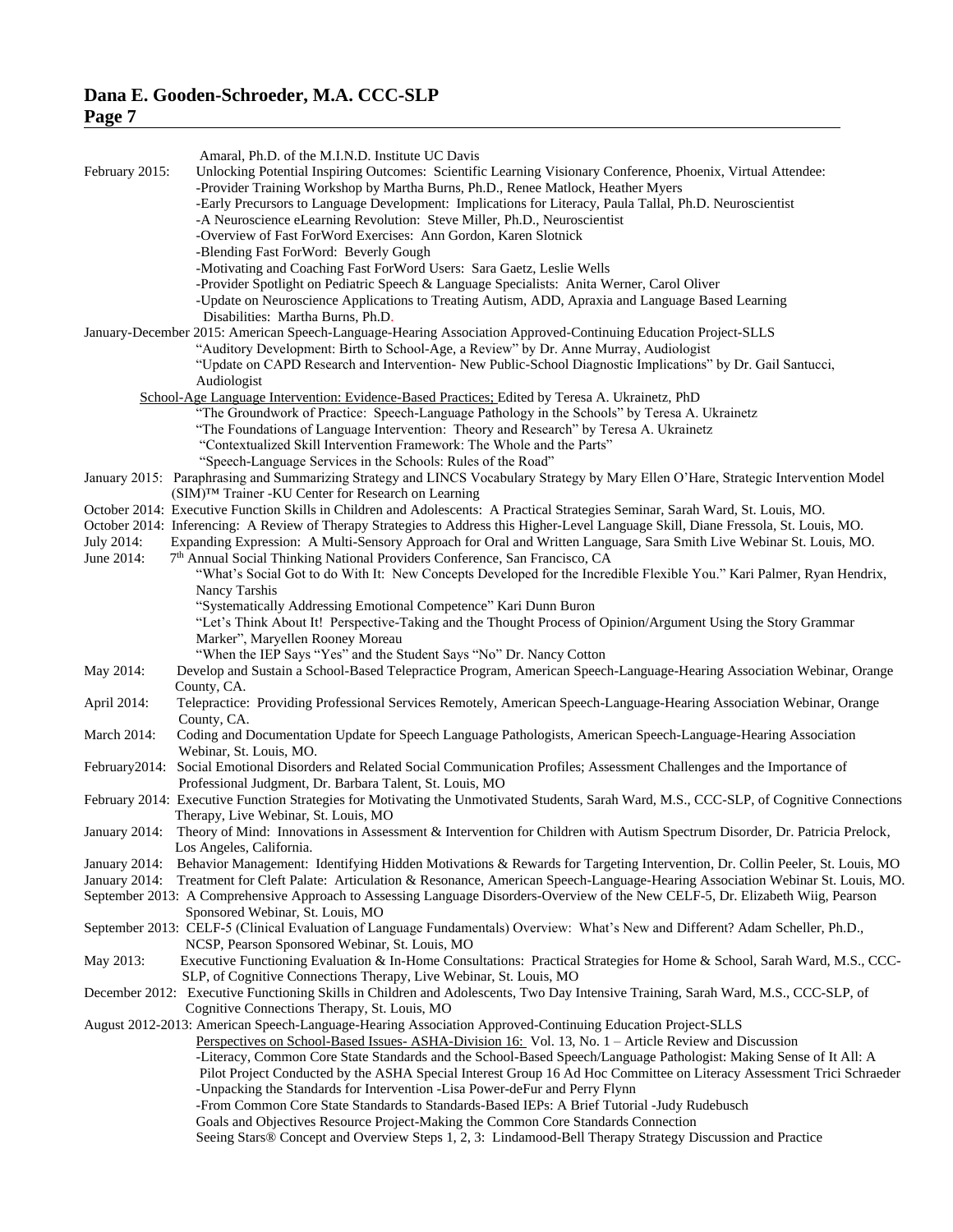| г.<br>г. |  |
|----------|--|
|          |  |

|                | Amaral, Ph.D. of the M.I.N.D. Institute UC Davis                                                                                                                                                                                                                      |
|----------------|-----------------------------------------------------------------------------------------------------------------------------------------------------------------------------------------------------------------------------------------------------------------------|
| February 2015: | Unlocking Potential Inspiring Outcomes: Scientific Learning Visionary Conference, Phoenix, Virtual Attendee:                                                                                                                                                          |
|                | -Provider Training Workshop by Martha Burns, Ph.D., Renee Matlock, Heather Myers                                                                                                                                                                                      |
|                | -Early Precursors to Language Development: Implications for Literacy, Paula Tallal, Ph.D. Neuroscientist                                                                                                                                                              |
|                | -A Neuroscience eLearning Revolution: Steve Miller, Ph.D., Neuroscientist<br>-Overview of Fast ForWord Exercises: Ann Gordon, Karen Slotnick                                                                                                                          |
|                | -Blending Fast ForWord: Beverly Gough                                                                                                                                                                                                                                 |
|                | -Motivating and Coaching Fast ForWord Users: Sara Gaetz, Leslie Wells                                                                                                                                                                                                 |
|                | -Provider Spotlight on Pediatric Speech & Language Specialists: Anita Werner, Carol Oliver                                                                                                                                                                            |
|                | -Update on Neuroscience Applications to Treating Autism, ADD, Apraxia and Language Based Learning<br>Disabilities: Martha Burns, Ph.D.                                                                                                                                |
|                | January-December 2015: American Speech-Language-Hearing Association Approved-Continuing Education Project-SLLS                                                                                                                                                        |
|                | "Auditory Development: Birth to School-Age, a Review" by Dr. Anne Murray, Audiologist                                                                                                                                                                                 |
|                | "Update on CAPD Research and Intervention- New Public-School Diagnostic Implications" by Dr. Gail Santucci,                                                                                                                                                           |
|                | Audiologist<br>School-Age Language Intervention: Evidence-Based Practices; Edited by Teresa A. Ukrainetz, PhD                                                                                                                                                         |
|                | "The Groundwork of Practice: Speech-Language Pathology in the Schools" by Teresa A. Ukrainetz                                                                                                                                                                         |
|                | "The Foundations of Language Intervention: Theory and Research" by Teresa A. Ukrainetz                                                                                                                                                                                |
|                | "Contextualized Skill Intervention Framework: The Whole and the Parts"                                                                                                                                                                                                |
|                | "Speech-Language Services in the Schools: Rules of the Road"                                                                                                                                                                                                          |
|                | January 2015: Paraphrasing and Summarizing Strategy and LINCS Vocabulary Strategy by Mary Ellen O'Hare, Strategic Intervention Model<br>(SIM) <sup>™</sup> Trainer -KU Center for Research on Learning                                                                |
|                | October 2014: Executive Function Skills in Children and Adolescents: A Practical Strategies Seminar, Sarah Ward, St. Louis, MO.                                                                                                                                       |
|                | October 2014: Inferencing: A Review of Therapy Strategies to Address this Higher-Level Language Skill, Diane Fressola, St. Louis, MO.                                                                                                                                 |
| July 2014:     | Expanding Expression: A Multi-Sensory Approach for Oral and Written Language, Sara Smith Live Webinar St. Louis, MO.                                                                                                                                                  |
| June 2014:     | 7th Annual Social Thinking National Providers Conference, San Francisco, CA                                                                                                                                                                                           |
|                | "What's Social Got to do With It: New Concepts Developed for the Incredible Flexible You." Kari Palmer, Ryan Hendrix,<br>Nancy Tarshis                                                                                                                                |
|                | "Systematically Addressing Emotional Competence" Kari Dunn Buron                                                                                                                                                                                                      |
|                | "Let's Think About It! Perspective-Taking and the Thought Process of Opinion/Argument Using the Story Grammar                                                                                                                                                         |
|                | Marker", Maryellen Rooney Moreau                                                                                                                                                                                                                                      |
|                | "When the IEP Says "Yes" and the Student Says "No" Dr. Nancy Cotton                                                                                                                                                                                                   |
| May 2014:      | Develop and Sustain a School-Based Telepractice Program, American Speech-Language-Hearing Association Webinar, Orange<br>County, CA.                                                                                                                                  |
| April 2014:    | Telepractice: Providing Professional Services Remotely, American Speech-Language-Hearing Association Webinar, Orange                                                                                                                                                  |
| March 2014:    | County, CA.<br>Coding and Documentation Update for Speech Language Pathologists, American Speech-Language-Hearing Association                                                                                                                                         |
|                | Webinar, St. Louis, MO.                                                                                                                                                                                                                                               |
|                | February 2014: Social Emotional Disorders and Related Social Communication Profiles; Assessment Challenges and the Importance of                                                                                                                                      |
|                | Professional Judgment, Dr. Barbara Talent, St. Louis, MO                                                                                                                                                                                                              |
|                | February 2014: Executive Function Strategies for Motivating the Unmotivated Students, Sarah Ward, M.S., CCC-SLP, of Cognitive Connections<br>Therapy, Live Webinar, St. Louis, MO                                                                                     |
|                | January 2014: Theory of Mind: Innovations in Assessment & Intervention for Children with Autism Spectrum Disorder, Dr. Patricia Prelock,                                                                                                                              |
|                | Los Angeles, California.                                                                                                                                                                                                                                              |
| January 2014:  | Behavior Management: Identifying Hidden Motivations & Rewards for Targeting Intervention, Dr. Collin Peeler, St. Louis, MO<br>January 2014: Treatment for Cleft Palate: Articulation & Resonance, American Speech-Language-Hearing Association Webinar St. Louis, MO. |
|                | September 2013: A Comprehensive Approach to Assessing Language Disorders-Overview of the New CELF-5, Dr. Elizabeth Wiig, Pearson                                                                                                                                      |
|                | Sponsored Webinar, St. Louis, MO                                                                                                                                                                                                                                      |
|                | September 2013: CELF-5 (Clinical Evaluation of Language Fundamentals) Overview: What's New and Different? Adam Scheller, Ph.D.,                                                                                                                                       |
|                | NCSP, Pearson Sponsored Webinar, St. Louis, MO                                                                                                                                                                                                                        |
| May 2013:      | Executive Functioning Evaluation & In-Home Consultations: Practical Strategies for Home & School, Sarah Ward, M.S., CCC-<br>SLP, of Cognitive Connections Therapy, Live Webinar, St. Louis, MO                                                                        |
|                | December 2012: Executive Functioning Skills in Children and Adolescents, Two Day Intensive Training, Sarah Ward, M.S., CCC-SLP, of                                                                                                                                    |
|                | Cognitive Connections Therapy, St. Louis, MO                                                                                                                                                                                                                          |
|                | August 2012-2013: American Speech-Language-Hearing Association Approved-Continuing Education Project-SLLS                                                                                                                                                             |
|                | Perspectives on School-Based Issues-ASHA-Division 16: Vol. 13, No. 1 - Article Review and Discussion                                                                                                                                                                  |
|                | -Literacy, Common Core State Standards and the School-Based Speech/Language Pathologist: Making Sense of It All: A<br>Pilot Project Conducted by the ASHA Special Interest Group 16 Ad Hoc Committee on Literacy Assessment Trici Schraeder                           |
|                | -Unpacking the Standards for Intervention -Lisa Power-deFur and Perry Flynn                                                                                                                                                                                           |
|                | -From Common Core State Standards to Standards-Based IEPs: A Brief Tutorial -Judy Rudebusch                                                                                                                                                                           |
|                | Goals and Objectives Resource Project-Making the Common Core Standards Connection                                                                                                                                                                                     |
|                | Seeing Stars® Concept and Overview Steps 1, 2, 3: Lindamood-Bell Therapy Strategy Discussion and Practice                                                                                                                                                             |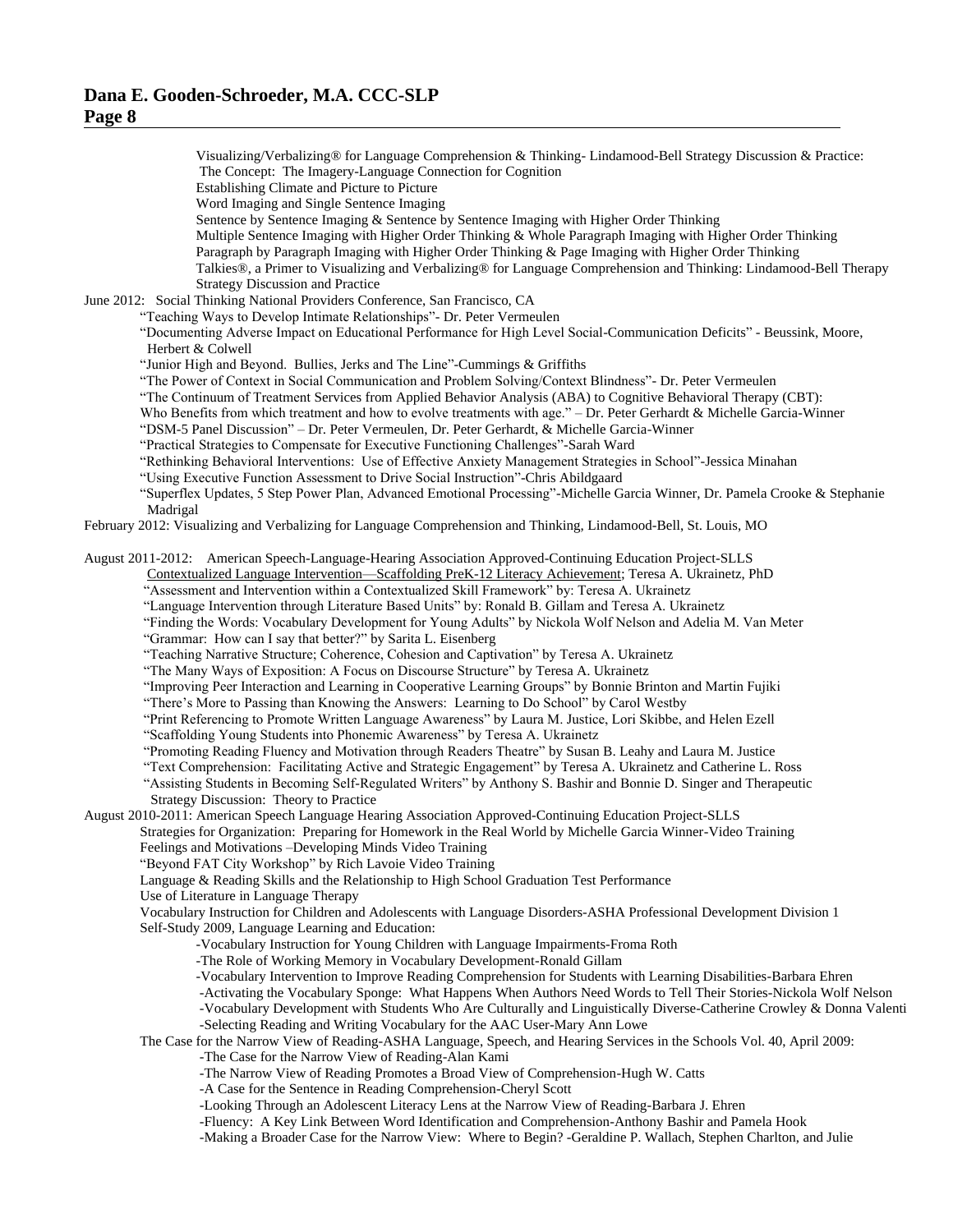Visualizing/Verbalizing® for Language Comprehension & Thinking- Lindamood-Bell Strategy Discussion & Practice: The Concept: The Imagery-Language Connection for Cognition Establishing Climate and Picture to Picture Word Imaging and Single Sentence Imaging Sentence by Sentence Imaging & Sentence by Sentence Imaging with Higher Order Thinking Multiple Sentence Imaging with Higher Order Thinking & Whole Paragraph Imaging with Higher Order Thinking Paragraph by Paragraph Imaging with Higher Order Thinking & Page Imaging with Higher Order Thinking Talkies®, a Primer to Visualizing and Verbalizing® for Language Comprehension and Thinking: Lindamood-Bell Therapy Strategy Discussion and Practice June 2012: Social Thinking National Providers Conference, San Francisco, CA "Teaching Ways to Develop Intimate Relationships"- Dr. Peter Vermeulen "Documenting Adverse Impact on Educational Performance for High Level Social-Communication Deficits" - Beussink, Moore, Herbert & Colwell "Junior High and Beyond. Bullies, Jerks and The Line"-Cummings & Griffiths "The Power of Context in Social Communication and Problem Solving/Context Blindness"- Dr. Peter Vermeulen "The Continuum of Treatment Services from Applied Behavior Analysis (ABA) to Cognitive Behavioral Therapy (CBT): Who Benefits from which treatment and how to evolve treatments with age." – Dr. Peter Gerhardt & Michelle Garcia-Winner "DSM-5 Panel Discussion" – Dr. Peter Vermeulen, Dr. Peter Gerhardt, & Michelle Garcia-Winner "Practical Strategies to Compensate for Executive Functioning Challenges"-Sarah Ward "Rethinking Behavioral Interventions: Use of Effective Anxiety Management Strategies in School"-Jessica Minahan "Using Executive Function Assessment to Drive Social Instruction"-Chris Abildgaard "Superflex Updates, 5 Step Power Plan, Advanced Emotional Processing"-Michelle Garcia Winner, Dr. Pamela Crooke & Stephanie Madrigal February 2012: Visualizing and Verbalizing for Language Comprehension and Thinking, Lindamood-Bell, St. Louis, MO August 2011-2012: American Speech-Language-Hearing Association Approved-Continuing Education Project-SLLS Contextualized Language Intervention—Scaffolding PreK-12 Literacy Achievement; Teresa A. Ukrainetz, PhD "Assessment and Intervention within a Contextualized Skill Framework" by: Teresa A. Ukrainetz "Language Intervention through Literature Based Units" by: Ronald B. Gillam and Teresa A. Ukrainetz "Finding the Words: Vocabulary Development for Young Adults" by Nickola Wolf Nelson and Adelia M. Van Meter "Grammar: How can I say that better?" by Sarita L. Eisenberg "Teaching Narrative Structure; Coherence, Cohesion and Captivation" by Teresa A. Ukrainetz "The Many Ways of Exposition: A Focus on Discourse Structure" by Teresa A. Ukrainetz "Improving Peer Interaction and Learning in Cooperative Learning Groups" by Bonnie Brinton and Martin Fujiki "There's More to Passing than Knowing the Answers: Learning to Do School" by Carol Westby "Print Referencing to Promote Written Language Awareness" by Laura M. Justice, Lori Skibbe, and Helen Ezell "Scaffolding Young Students into Phonemic Awareness" by Teresa A. Ukrainetz "Promoting Reading Fluency and Motivation through Readers Theatre" by Susan B. Leahy and Laura M. Justice "Text Comprehension: Facilitating Active and Strategic Engagement" by Teresa A. Ukrainetz and Catherine L. Ross "Assisting Students in Becoming Self-Regulated Writers" by Anthony S. Bashir and Bonnie D. Singer and Therapeutic Strategy Discussion: Theory to Practice August 2010-2011: American Speech Language Hearing Association Approved-Continuing Education Project-SLLS Strategies for Organization: Preparing for Homework in the Real World by Michelle Garcia Winner-Video Training Feelings and Motivations –Developing Minds Video Training "Beyond FAT City Workshop" by Rich Lavoie Video Training Language & Reading Skills and the Relationship to High School Graduation Test Performance Use of Literature in Language Therapy Vocabulary Instruction for Children and Adolescents with Language Disorders-ASHA Professional Development Division 1 Self-Study 2009, Language Learning and Education: -Vocabulary Instruction for Young Children with Language Impairments-Froma Roth -The Role of Working Memory in Vocabulary Development-Ronald Gillam -Vocabulary Intervention to Improve Reading Comprehension for Students with Learning Disabilities-Barbara Ehren -Activating the Vocabulary Sponge: What Happens When Authors Need Words to Tell Their Stories-Nickola Wolf Nelson -Vocabulary Development with Students Who Are Culturally and Linguistically Diverse-Catherine Crowley & Donna Valenti -Selecting Reading and Writing Vocabulary for the AAC User-Mary Ann Lowe The Case for the Narrow View of Reading-ASHA Language, Speech, and Hearing Services in the Schools Vol. 40, April 2009: -The Case for the Narrow View of Reading-Alan Kami -The Narrow View of Reading Promotes a Broad View of Comprehension-Hugh W. Catts -A Case for the Sentence in Reading Comprehension-Cheryl Scott -Looking Through an Adolescent Literacy Lens at the Narrow View of Reading-Barbara J. Ehren -Fluency: A Key Link Between Word Identification and Comprehension-Anthony Bashir and Pamela Hook

-Making a Broader Case for the Narrow View: Where to Begin? -Geraldine P. Wallach, Stephen Charlton, and Julie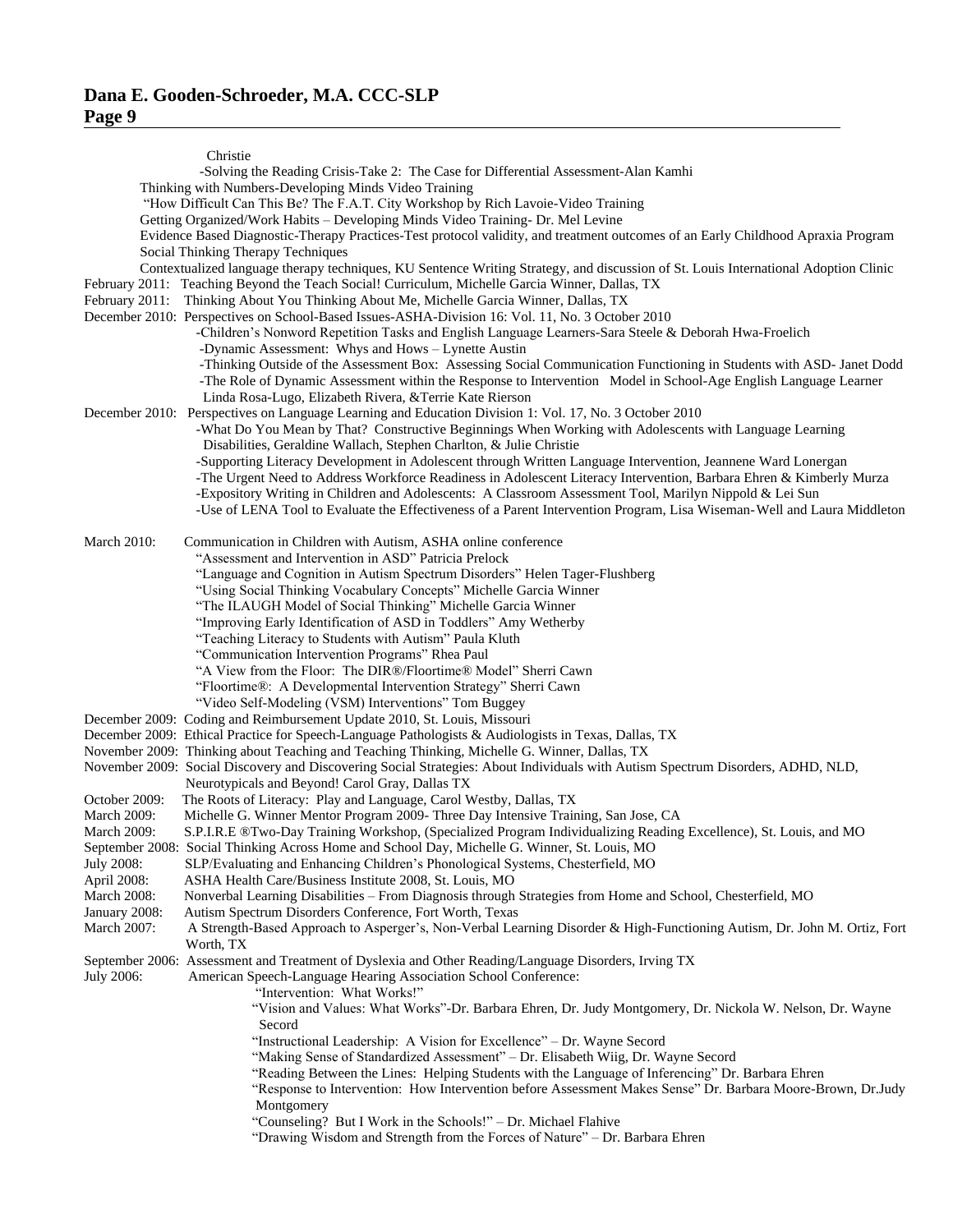|                              | Christie                                                                                                                                                                                                                                 |
|------------------------------|------------------------------------------------------------------------------------------------------------------------------------------------------------------------------------------------------------------------------------------|
|                              | -Solving the Reading Crisis-Take 2: The Case for Differential Assessment-Alan Kamhi                                                                                                                                                      |
|                              | Thinking with Numbers-Developing Minds Video Training                                                                                                                                                                                    |
|                              | "How Difficult Can This Be? The F.A.T. City Workshop by Rich Lavoie-Video Training                                                                                                                                                       |
|                              | Getting Organized/Work Habits - Developing Minds Video Training- Dr. Mel Levine                                                                                                                                                          |
|                              | Evidence Based Diagnostic-Therapy Practices-Test protocol validity, and treatment outcomes of an Early Childhood Apraxia Program<br>Social Thinking Therapy Techniques                                                                   |
|                              | Contextualized language therapy techniques, KU Sentence Writing Strategy, and discussion of St. Louis International Adoption Clinic<br>February 2011: Teaching Beyond the Teach Social! Curriculum, Michelle Garcia Winner, Dallas, TX   |
|                              | February 2011: Thinking About You Thinking About Me, Michelle Garcia Winner, Dallas, TX                                                                                                                                                  |
|                              | December 2010: Perspectives on School-Based Issues-ASHA-Division 16: Vol. 11, No. 3 October 2010                                                                                                                                         |
|                              | -Children's Nonword Repetition Tasks and English Language Learners-Sara Steele & Deborah Hwa-Froelich                                                                                                                                    |
|                              | -Dynamic Assessment: Whys and Hows - Lynette Austin                                                                                                                                                                                      |
|                              | -Thinking Outside of the Assessment Box: Assessing Social Communication Functioning in Students with ASD- Janet Dodd<br>-The Role of Dynamic Assessment within the Response to Intervention Model in School-Age English Language Learner |
|                              | Linda Rosa-Lugo, Elizabeth Rivera, & Terrie Kate Rierson                                                                                                                                                                                 |
|                              | December 2010: Perspectives on Language Learning and Education Division 1: Vol. 17, No. 3 October 2010                                                                                                                                   |
|                              | -What Do You Mean by That? Constructive Beginnings When Working with Adolescents with Language Learning                                                                                                                                  |
|                              | Disabilities, Geraldine Wallach, Stephen Charlton, & Julie Christie                                                                                                                                                                      |
|                              | -Supporting Literacy Development in Adolescent through Written Language Intervention, Jeannene Ward Lonergan                                                                                                                             |
|                              | -The Urgent Need to Address Workforce Readiness in Adolescent Literacy Intervention, Barbara Ehren & Kimberly Murza                                                                                                                      |
|                              | -Expository Writing in Children and Adolescents: A Classroom Assessment Tool, Marilyn Nippold & Lei Sun                                                                                                                                  |
|                              | -Use of LENA Tool to Evaluate the Effectiveness of a Parent Intervention Program, Lisa Wiseman-Well and Laura Middleton                                                                                                                  |
| <b>March 2010:</b>           | Communication in Children with Autism, ASHA online conference                                                                                                                                                                            |
|                              | "Assessment and Intervention in ASD" Patricia Prelock                                                                                                                                                                                    |
|                              | "Language and Cognition in Autism Spectrum Disorders" Helen Tager-Flushberg                                                                                                                                                              |
|                              | "Using Social Thinking Vocabulary Concepts" Michelle Garcia Winner                                                                                                                                                                       |
|                              | "The ILAUGH Model of Social Thinking" Michelle Garcia Winner                                                                                                                                                                             |
|                              | "Improving Early Identification of ASD in Toddlers" Amy Wetherby                                                                                                                                                                         |
|                              | "Teaching Literacy to Students with Autism" Paula Kluth<br>"Communication Intervention Programs" Rhea Paul                                                                                                                               |
|                              | "A View from the Floor: The DIR®/Floortime® Model" Sherri Cawn                                                                                                                                                                           |
|                              | "Floortime®: A Developmental Intervention Strategy" Sherri Cawn                                                                                                                                                                          |
|                              | "Video Self-Modeling (VSM) Interventions" Tom Buggey                                                                                                                                                                                     |
|                              | December 2009: Coding and Reimbursement Update 2010, St. Louis, Missouri                                                                                                                                                                 |
|                              | December 2009: Ethical Practice for Speech-Language Pathologists & Audiologists in Texas, Dallas, TX                                                                                                                                     |
|                              | November 2009: Thinking about Teaching and Teaching Thinking, Michelle G. Winner, Dallas, TX                                                                                                                                             |
|                              | November 2009: Social Discovery and Discovering Social Strategies: About Individuals with Autism Spectrum Disorders, ADHD, NLD,                                                                                                          |
|                              | Neurotypicals and Beyond! Carol Gray, Dallas TX<br>The Roots of Literacy: Play and Language, Carol Westby, Dallas, TX                                                                                                                    |
| October 2009:<br>March 2009: | Michelle G. Winner Mentor Program 2009- Three Day Intensive Training, San Jose, CA                                                                                                                                                       |
| <b>March 2009:</b>           | S.P.I.R.E ®Two-Day Training Workshop, (Specialized Program Individualizing Reading Excellence), St. Louis, and MO                                                                                                                        |
|                              | September 2008: Social Thinking Across Home and School Day, Michelle G. Winner, St. Louis, MO                                                                                                                                            |
| July 2008:                   | SLP/Evaluating and Enhancing Children's Phonological Systems, Chesterfield, MO                                                                                                                                                           |
| April 2008:                  | ASHA Health Care/Business Institute 2008, St. Louis, MO                                                                                                                                                                                  |
| March 2008:                  | Nonverbal Learning Disabilities - From Diagnosis through Strategies from Home and School, Chesterfield, MO                                                                                                                               |
| January 2008:                | Autism Spectrum Disorders Conference, Fort Worth, Texas                                                                                                                                                                                  |
| March 2007:                  | A Strength-Based Approach to Asperger's, Non-Verbal Learning Disorder & High-Functioning Autism, Dr. John M. Ortiz, Fort<br>Worth, TX                                                                                                    |
|                              | September 2006: Assessment and Treatment of Dyslexia and Other Reading/Language Disorders, Irving TX                                                                                                                                     |
| July 2006:                   | American Speech-Language Hearing Association School Conference:<br>"Intervention: What Works!"                                                                                                                                           |
|                              | "Vision and Values: What Works"-Dr. Barbara Ehren, Dr. Judy Montgomery, Dr. Nickola W. Nelson, Dr. Wayne                                                                                                                                 |
|                              | Secord                                                                                                                                                                                                                                   |
|                              | "Instructional Leadership: A Vision for Excellence" - Dr. Wayne Secord                                                                                                                                                                   |
|                              | "Making Sense of Standardized Assessment" - Dr. Elisabeth Wiig, Dr. Wayne Secord                                                                                                                                                         |
|                              | "Reading Between the Lines: Helping Students with the Language of Inferencing" Dr. Barbara Ehren                                                                                                                                         |
|                              | "Response to Intervention: How Intervention before Assessment Makes Sense" Dr. Barbara Moore-Brown, Dr.Judy                                                                                                                              |
|                              | Montgomery                                                                                                                                                                                                                               |
|                              | "Counseling? But I Work in the Schools!" - Dr. Michael Flahive                                                                                                                                                                           |
|                              | "Drawing Wisdom and Strength from the Forces of Nature" - Dr. Barbara Ehren                                                                                                                                                              |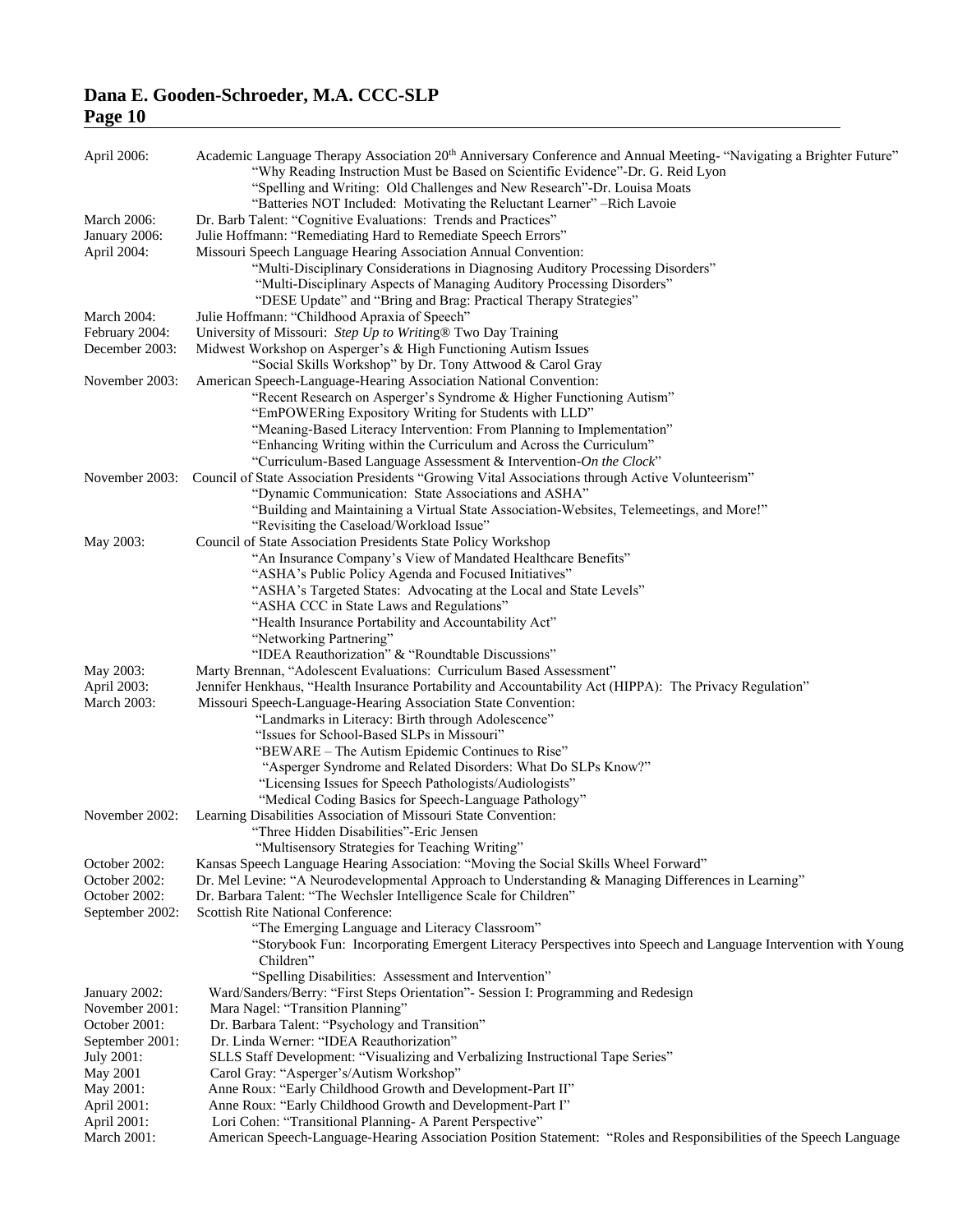| April 2006:                     | Academic Language Therapy Association 20 <sup>th</sup> Anniversary Conference and Annual Meeting- "Navigating a Brighter Future"<br>"Why Reading Instruction Must be Based on Scientific Evidence"-Dr. G. Reid Lyon<br>"Spelling and Writing: Old Challenges and New Research"-Dr. Louisa Moats |
|---------------------------------|-------------------------------------------------------------------------------------------------------------------------------------------------------------------------------------------------------------------------------------------------------------------------------------------------|
| March 2006:                     | "Batteries NOT Included: Motivating the Reluctant Learner" – Rich Lavoie<br>Dr. Barb Talent: "Cognitive Evaluations: Trends and Practices"                                                                                                                                                      |
| January 2006:                   | Julie Hoffmann: "Remediating Hard to Remediate Speech Errors"                                                                                                                                                                                                                                   |
| April 2004:                     | Missouri Speech Language Hearing Association Annual Convention:                                                                                                                                                                                                                                 |
|                                 | "Multi-Disciplinary Considerations in Diagnosing Auditory Processing Disorders"                                                                                                                                                                                                                 |
|                                 | "Multi-Disciplinary Aspects of Managing Auditory Processing Disorders"                                                                                                                                                                                                                          |
|                                 | "DESE Update" and "Bring and Brag: Practical Therapy Strategies"                                                                                                                                                                                                                                |
| <b>March 2004:</b>              | Julie Hoffmann: "Childhood Apraxia of Speech"                                                                                                                                                                                                                                                   |
| February 2004:                  | University of Missouri: Step Up to Writing® Two Day Training                                                                                                                                                                                                                                    |
| December 2003:                  | Midwest Workshop on Asperger's & High Functioning Autism Issues                                                                                                                                                                                                                                 |
|                                 | "Social Skills Workshop" by Dr. Tony Attwood & Carol Gray                                                                                                                                                                                                                                       |
| November 2003:                  | American Speech-Language-Hearing Association National Convention:                                                                                                                                                                                                                               |
|                                 | "Recent Research on Asperger's Syndrome & Higher Functioning Autism"                                                                                                                                                                                                                            |
|                                 | "EmPOWERing Expository Writing for Students with LLD"                                                                                                                                                                                                                                           |
|                                 | "Meaning-Based Literacy Intervention: From Planning to Implementation"                                                                                                                                                                                                                          |
|                                 | "Enhancing Writing within the Curriculum and Across the Curriculum"                                                                                                                                                                                                                             |
|                                 | "Curriculum-Based Language Assessment & Intervention-On the Clock"<br>November 2003: Council of State Association Presidents "Growing Vital Associations through Active Volunteerism"                                                                                                           |
|                                 | "Dynamic Communication: State Associations and ASHA"                                                                                                                                                                                                                                            |
|                                 | "Building and Maintaining a Virtual State Association-Websites, Telemeetings, and More!"                                                                                                                                                                                                        |
|                                 | "Revisiting the Caseload/Workload Issue"                                                                                                                                                                                                                                                        |
| May 2003:                       | Council of State Association Presidents State Policy Workshop                                                                                                                                                                                                                                   |
|                                 | "An Insurance Company's View of Mandated Healthcare Benefits"                                                                                                                                                                                                                                   |
|                                 | "ASHA's Public Policy Agenda and Focused Initiatives"                                                                                                                                                                                                                                           |
|                                 | "ASHA's Targeted States: Advocating at the Local and State Levels"                                                                                                                                                                                                                              |
|                                 | "ASHA CCC in State Laws and Regulations"                                                                                                                                                                                                                                                        |
|                                 | "Health Insurance Portability and Accountability Act"                                                                                                                                                                                                                                           |
|                                 | "Networking Partnering"                                                                                                                                                                                                                                                                         |
|                                 | "IDEA Reauthorization" & "Roundtable Discussions"                                                                                                                                                                                                                                               |
| May 2003:                       | Marty Brennan, "Adolescent Evaluations: Curriculum Based Assessment"                                                                                                                                                                                                                            |
| April 2003:                     | Jennifer Henkhaus, "Health Insurance Portability and Accountability Act (HIPPA): The Privacy Regulation"                                                                                                                                                                                        |
| March 2003:                     | Missouri Speech-Language-Hearing Association State Convention:                                                                                                                                                                                                                                  |
|                                 | "Landmarks in Literacy: Birth through Adolescence"                                                                                                                                                                                                                                              |
|                                 | "Issues for School-Based SLPs in Missouri"                                                                                                                                                                                                                                                      |
|                                 | "BEWARE - The Autism Epidemic Continues to Rise"<br>"Asperger Syndrome and Related Disorders: What Do SLPs Know?"                                                                                                                                                                               |
|                                 | "Licensing Issues for Speech Pathologists/Audiologists"                                                                                                                                                                                                                                         |
|                                 | "Medical Coding Basics for Speech-Language Pathology"                                                                                                                                                                                                                                           |
| November 2002:                  | Learning Disabilities Association of Missouri State Convention:                                                                                                                                                                                                                                 |
|                                 | "Three Hidden Disabilities"-Eric Jensen                                                                                                                                                                                                                                                         |
|                                 | "Multisensory Strategies for Teaching Writing"                                                                                                                                                                                                                                                  |
| October 2002:                   | Kansas Speech Language Hearing Association: "Moving the Social Skills Wheel Forward"                                                                                                                                                                                                            |
| October 2002:                   | Dr. Mel Levine: "A Neurodevelopmental Approach to Understanding & Managing Differences in Learning"                                                                                                                                                                                             |
| October 2002:                   | Dr. Barbara Talent: "The Wechsler Intelligence Scale for Children"                                                                                                                                                                                                                              |
| September 2002:                 | <b>Scottish Rite National Conference:</b>                                                                                                                                                                                                                                                       |
|                                 | "The Emerging Language and Literacy Classroom"                                                                                                                                                                                                                                                  |
|                                 | "Storybook Fun: Incorporating Emergent Literacy Perspectives into Speech and Language Intervention with Young                                                                                                                                                                                   |
|                                 | Children"                                                                                                                                                                                                                                                                                       |
|                                 | "Spelling Disabilities: Assessment and Intervention"                                                                                                                                                                                                                                            |
| January 2002:<br>November 2001: | Ward/Sanders/Berry: "First Steps Orientation"- Session I: Programming and Redesign<br>Mara Nagel: "Transition Planning"                                                                                                                                                                         |
| October 2001:                   | Dr. Barbara Talent: "Psychology and Transition"                                                                                                                                                                                                                                                 |
| September 2001:                 | Dr. Linda Werner: "IDEA Reauthorization"                                                                                                                                                                                                                                                        |
| July 2001:                      | SLLS Staff Development: "Visualizing and Verbalizing Instructional Tape Series"                                                                                                                                                                                                                 |
| May 2001                        | Carol Gray: "Asperger's/Autism Workshop"                                                                                                                                                                                                                                                        |
| May 2001:                       | Anne Roux: "Early Childhood Growth and Development-Part II"                                                                                                                                                                                                                                     |
| April 2001:                     | Anne Roux: "Early Childhood Growth and Development-Part I"                                                                                                                                                                                                                                      |
| April 2001:                     | Lori Cohen: "Transitional Planning- A Parent Perspective"                                                                                                                                                                                                                                       |
| March 2001:                     | American Speech-Language-Hearing Association Position Statement: "Roles and Responsibilities of the Speech Language                                                                                                                                                                             |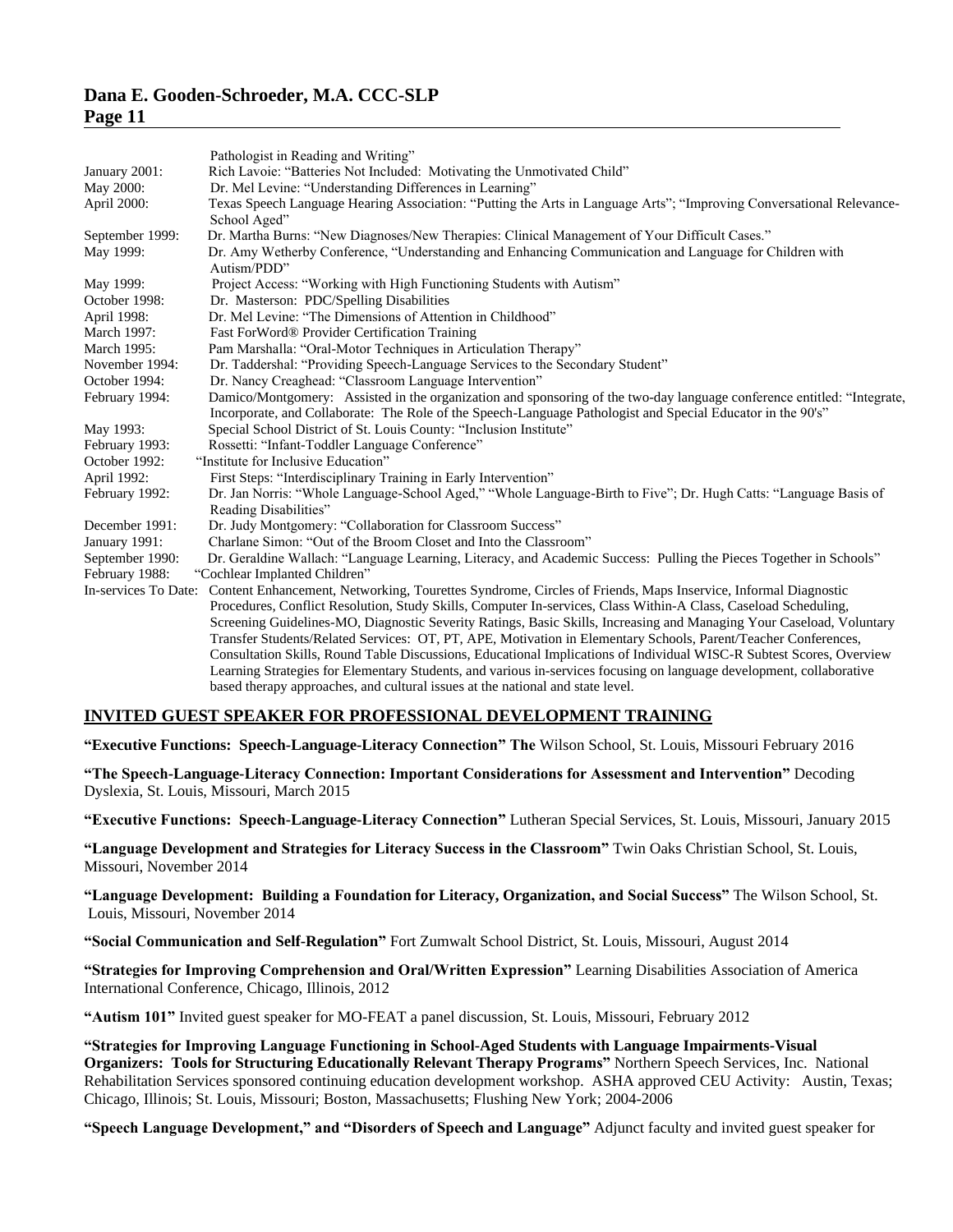|                 | Pathologist in Reading and Writing"                                                                                                                                                                                                                                                                                                                                                                                                                                                            |
|-----------------|------------------------------------------------------------------------------------------------------------------------------------------------------------------------------------------------------------------------------------------------------------------------------------------------------------------------------------------------------------------------------------------------------------------------------------------------------------------------------------------------|
| January 2001:   | Rich Lavoie: "Batteries Not Included: Motivating the Unmotivated Child"                                                                                                                                                                                                                                                                                                                                                                                                                        |
| May 2000:       | Dr. Mel Levine: "Understanding Differences in Learning"                                                                                                                                                                                                                                                                                                                                                                                                                                        |
| April 2000:     | Texas Speech Language Hearing Association: "Putting the Arts in Language Arts"; "Improving Conversational Relevance-<br>School Aged"                                                                                                                                                                                                                                                                                                                                                           |
| September 1999: | Dr. Martha Burns: "New Diagnoses/New Therapies: Clinical Management of Your Difficult Cases."                                                                                                                                                                                                                                                                                                                                                                                                  |
| May 1999:       | Dr. Amy Wetherby Conference, "Understanding and Enhancing Communication and Language for Children with<br>Autism/PDD"                                                                                                                                                                                                                                                                                                                                                                          |
| May 1999:       | Project Access: "Working with High Functioning Students with Autism"                                                                                                                                                                                                                                                                                                                                                                                                                           |
| October 1998:   | Dr. Masterson: PDC/Spelling Disabilities                                                                                                                                                                                                                                                                                                                                                                                                                                                       |
| April 1998:     | Dr. Mel Levine: "The Dimensions of Attention in Childhood"                                                                                                                                                                                                                                                                                                                                                                                                                                     |
| March 1997:     | Fast ForWord® Provider Certification Training                                                                                                                                                                                                                                                                                                                                                                                                                                                  |
| March 1995:     | Pam Marshalla: "Oral-Motor Techniques in Articulation Therapy"                                                                                                                                                                                                                                                                                                                                                                                                                                 |
| November 1994:  | Dr. Taddershal: "Providing Speech-Language Services to the Secondary Student"                                                                                                                                                                                                                                                                                                                                                                                                                  |
| October 1994:   | Dr. Nancy Creaghead: "Classroom Language Intervention"                                                                                                                                                                                                                                                                                                                                                                                                                                         |
| February 1994:  | Damico/Montgomery: Assisted in the organization and sponsoring of the two-day language conference entitled: "Integrate,<br>Incorporate, and Collaborate: The Role of the Speech-Language Pathologist and Special Educator in the 90's"                                                                                                                                                                                                                                                         |
| May 1993:       | Special School District of St. Louis County: "Inclusion Institute"                                                                                                                                                                                                                                                                                                                                                                                                                             |
| February 1993:  | Rossetti: "Infant-Toddler Language Conference"                                                                                                                                                                                                                                                                                                                                                                                                                                                 |
| October 1992:   | "Institute for Inclusive Education"                                                                                                                                                                                                                                                                                                                                                                                                                                                            |
| April 1992:     | First Steps: "Interdisciplinary Training in Early Intervention"                                                                                                                                                                                                                                                                                                                                                                                                                                |
| February 1992:  | Dr. Jan Norris: "Whole Language-School Aged," "Whole Language-Birth to Five"; Dr. Hugh Catts: "Language Basis of                                                                                                                                                                                                                                                                                                                                                                               |
|                 | Reading Disabilities"                                                                                                                                                                                                                                                                                                                                                                                                                                                                          |
| December 1991:  | Dr. Judy Montgomery: "Collaboration for Classroom Success"                                                                                                                                                                                                                                                                                                                                                                                                                                     |
| January 1991:   | Charlane Simon: "Out of the Broom Closet and Into the Classroom"                                                                                                                                                                                                                                                                                                                                                                                                                               |
| September 1990: | Dr. Geraldine Wallach: "Language Learning, Literacy, and Academic Success: Pulling the Pieces Together in Schools"                                                                                                                                                                                                                                                                                                                                                                             |
| February 1988:  | "Cochlear Implanted Children"                                                                                                                                                                                                                                                                                                                                                                                                                                                                  |
|                 | In-services To Date: Content Enhancement, Networking, Tourettes Syndrome, Circles of Friends, Maps Inservice, Informal Diagnostic<br>Procedures, Conflict Resolution, Study Skills, Computer In-services, Class Within-A Class, Caseload Scheduling,<br>Screening Guidelines-MO, Diagnostic Severity Ratings, Basic Skills, Increasing and Managing Your Caseload, Voluntary<br>Transfer Students/Related Services: OT, PT, APE, Motivation in Elementary Schools, Parent/Teacher Conferences, |
|                 | Consultation Skills, Round Table Discussions, Educational Implications of Individual WISC-R Subtest Scores, Overview                                                                                                                                                                                                                                                                                                                                                                           |
|                 | Learning Strategies for Elementary Students, and various in-services focusing on language development, collaborative                                                                                                                                                                                                                                                                                                                                                                           |
|                 | based therapy approaches, and cultural issues at the national and state level.                                                                                                                                                                                                                                                                                                                                                                                                                 |

#### **INVITED GUEST SPEAKER FOR PROFESSIONAL DEVELOPMENT TRAINING**

**"Executive Functions: Speech-Language-Literacy Connection" The** Wilson School, St. Louis, Missouri February 2016

**"The Speech-Language-Literacy Connection: Important Considerations for Assessment and Intervention"** Decoding Dyslexia, St. Louis, Missouri, March 2015

**"Executive Functions: Speech-Language-Literacy Connection"** Lutheran Special Services, St. Louis, Missouri, January 2015

**"Language Development and Strategies for Literacy Success in the Classroom"** Twin Oaks Christian School, St. Louis, Missouri, November 2014

**"Language Development: Building a Foundation for Literacy, Organization, and Social Success"** The Wilson School, St. Louis, Missouri, November 2014

**"Social Communication and Self-Regulation"** Fort Zumwalt School District, St. Louis, Missouri, August 2014

**"Strategies for Improving Comprehension and Oral/Written Expression"** Learning Disabilities Association of America International Conference, Chicago, Illinois, 2012

**"Autism 101"** Invited guest speaker for MO-FEAT a panel discussion, St. Louis, Missouri, February 2012

**"Strategies for Improving Language Functioning in School-Aged Students with Language Impairments-Visual Organizers: Tools for Structuring Educationally Relevant Therapy Programs"** Northern Speech Services, Inc. National Rehabilitation Services sponsored continuing education development workshop. ASHA approved CEU Activity: Austin, Texas; Chicago, Illinois; St. Louis, Missouri; Boston, Massachusetts; Flushing New York; 2004-2006

**"Speech Language Development," and "Disorders of Speech and Language"** Adjunct faculty and invited guest speaker for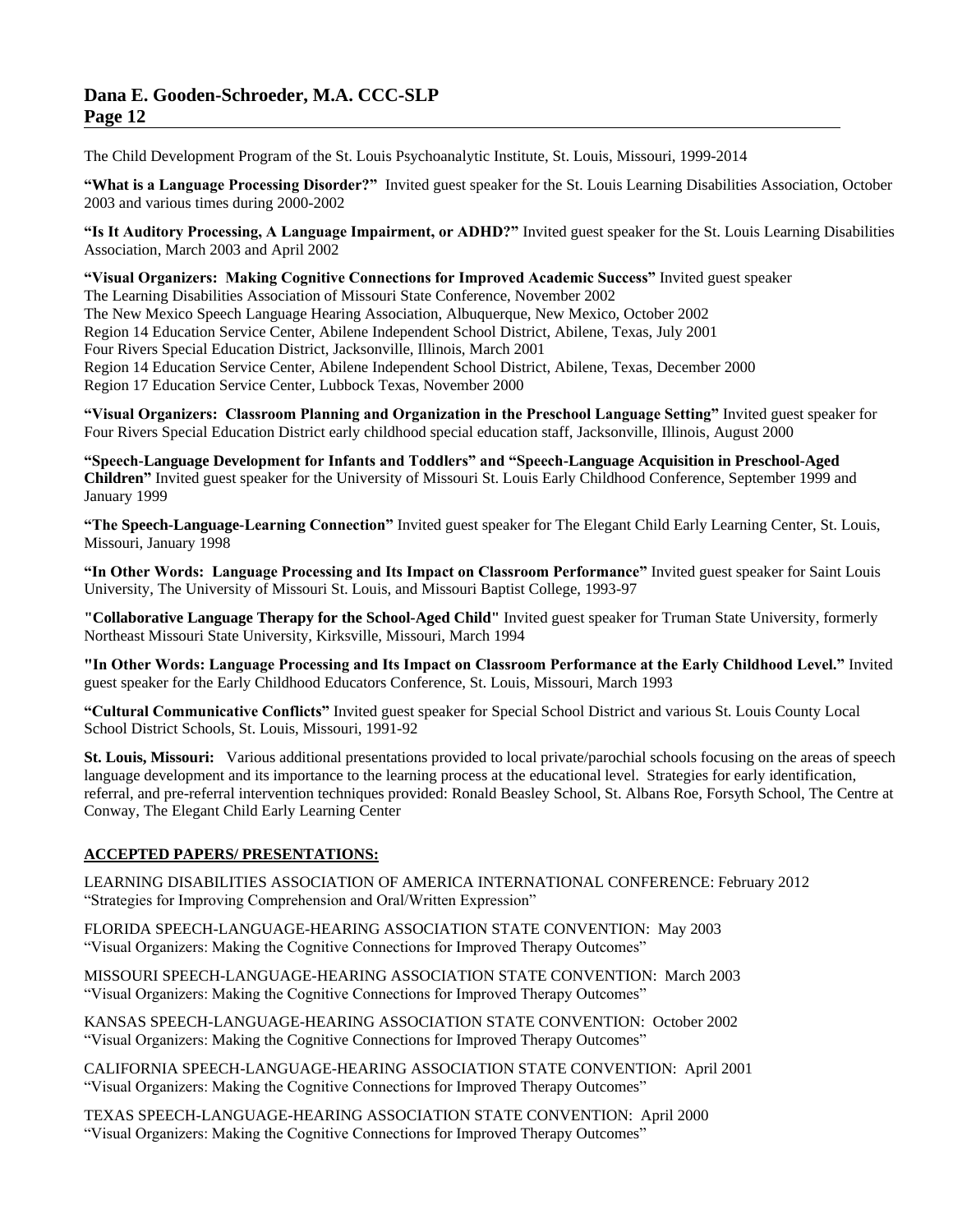The Child Development Program of the St. Louis Psychoanalytic Institute, St. Louis, Missouri, 1999-2014

**"What is a Language Processing Disorder?"** Invited guest speaker for the St. Louis Learning Disabilities Association, October 2003 and various times during 2000-2002

**"Is It Auditory Processing, A Language Impairment, or ADHD?"** Invited guest speaker for the St. Louis Learning Disabilities Association, March 2003 and April 2002

**"Visual Organizers: Making Cognitive Connections for Improved Academic Success"** Invited guest speaker The Learning Disabilities Association of Missouri State Conference, November 2002 The New Mexico Speech Language Hearing Association, Albuquerque, New Mexico, October 2002 Region 14 Education Service Center, Abilene Independent School District, Abilene, Texas, July 2001 Four Rivers Special Education District, Jacksonville, Illinois, March 2001 Region 14 Education Service Center, Abilene Independent School District, Abilene, Texas, December 2000 Region 17 Education Service Center, Lubbock Texas, November 2000

**"Visual Organizers: Classroom Planning and Organization in the Preschool Language Setting"** Invited guest speaker for Four Rivers Special Education District early childhood special education staff, Jacksonville, Illinois, August 2000

**"Speech-Language Development for Infants and Toddlers" and "Speech-Language Acquisition in Preschool-Aged Children"** Invited guest speaker for the University of Missouri St. Louis Early Childhood Conference, September 1999 and January 1999

**"The Speech-Language-Learning Connection"** Invited guest speaker for The Elegant Child Early Learning Center, St. Louis, Missouri, January 1998

**"In Other Words: Language Processing and Its Impact on Classroom Performance"** Invited guest speaker for Saint Louis University, The University of Missouri St. Louis, and Missouri Baptist College, 1993-97

**"Collaborative Language Therapy for the School-Aged Child"** Invited guest speaker for Truman State University, formerly Northeast Missouri State University, Kirksville, Missouri, March 1994

**"In Other Words: Language Processing and Its Impact on Classroom Performance at the Early Childhood Level."** Invited guest speaker for the Early Childhood Educators Conference, St. Louis, Missouri, March 1993

**"Cultural Communicative Conflicts"** Invited guest speaker for Special School District and various St. Louis County Local School District Schools, St. Louis, Missouri, 1991-92

**St. Louis, Missouri:** Various additional presentations provided to local private/parochial schools focusing on the areas of speech language development and its importance to the learning process at the educational level. Strategies for early identification, referral, and pre-referral intervention techniques provided: Ronald Beasley School, St. Albans Roe, Forsyth School, The Centre at Conway, The Elegant Child Early Learning Center

## **ACCEPTED PAPERS/ PRESENTATIONS:**

LEARNING DISABILITIES ASSOCIATION OF AMERICA INTERNATIONAL CONFERENCE: February 2012 "Strategies for Improving Comprehension and Oral/Written Expression"

FLORIDA SPEECH-LANGUAGE-HEARING ASSOCIATION STATE CONVENTION: May 2003 "Visual Organizers: Making the Cognitive Connections for Improved Therapy Outcomes"

MISSOURI SPEECH-LANGUAGE-HEARING ASSOCIATION STATE CONVENTION: March 2003 "Visual Organizers: Making the Cognitive Connections for Improved Therapy Outcomes"

KANSAS SPEECH-LANGUAGE-HEARING ASSOCIATION STATE CONVENTION: October 2002 "Visual Organizers: Making the Cognitive Connections for Improved Therapy Outcomes"

CALIFORNIA SPEECH-LANGUAGE-HEARING ASSOCIATION STATE CONVENTION: April 2001 "Visual Organizers: Making the Cognitive Connections for Improved Therapy Outcomes"

TEXAS SPEECH-LANGUAGE-HEARING ASSOCIATION STATE CONVENTION: April 2000 "Visual Organizers: Making the Cognitive Connections for Improved Therapy Outcomes"